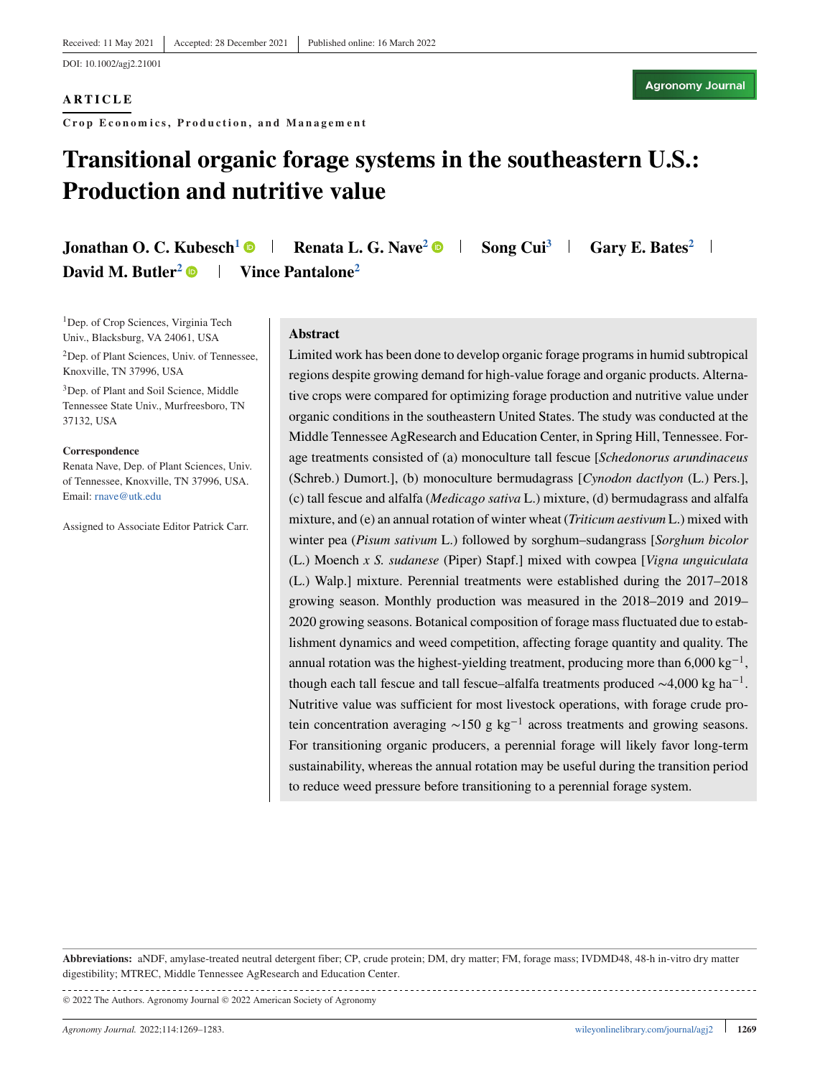#### **ARTICLE**

**Crop Economics, Production, and Management**

# **Transitional organic forage systems in the southeastern U.S.: Production and nutritive value**

**Jonathan O. C. Kubesch<sup>1</sup> <b>Renata L. G. Nave<sup>2</sup> B** Song Cui<sup>3</sup> **Gary E. Bates**<sup>2</sup> **I David M. Butler<sup>2</sup> • Vince Pantalone<sup>2</sup>** 

<sup>1</sup>Dep. of Crop Sciences, Virginia Tech Univ., Blacksburg, VA 24061, USA

2Dep. of Plant Sciences, Univ. of Tennessee, Knoxville, TN 37996, USA

<sup>3</sup>Dep. of Plant and Soil Science, Middle Tennessee State Univ., Murfreesboro, TN 37132, USA

#### **Correspondence**

Renata Nave, Dep. of Plant Sciences, Univ. of Tennessee, Knoxville, TN 37996, USA. Email: [rnave@utk.edu](mailto:rnave@utk.edu)

Assigned to Associate Editor Patrick Carr.

#### **Abstract**

Limited work has been done to develop organic forage programs in humid subtropical regions despite growing demand for high-value forage and organic products. Alternative crops were compared for optimizing forage production and nutritive value under organic conditions in the southeastern United States. The study was conducted at the Middle Tennessee AgResearch and Education Center, in Spring Hill, Tennessee. Forage treatments consisted of (a) monoculture tall fescue [*Schedonorus arundinaceus* (Schreb.) Dumort.], (b) monoculture bermudagrass [*Cynodon dactlyon* (L.) Pers.], (c) tall fescue and alfalfa (*Medicago sativa* L.) mixture, (d) bermudagrass and alfalfa mixture, and (e) an annual rotation of winter wheat (*Triticum aestivum* L.) mixed with winter pea (*Pisum sativum* L.) followed by sorghum–sudangrass [*Sorghum bicolor* (L.) Moench *x S. sudanese* (Piper) Stapf.] mixed with cowpea [*Vigna unguiculata* (L.) Walp.] mixture. Perennial treatments were established during the 2017–2018 growing season. Monthly production was measured in the 2018–2019 and 2019– 2020 growing seasons. Botanical composition of forage mass fluctuated due to establishment dynamics and weed competition, affecting forage quantity and quality. The annual rotation was the highest-yielding treatment, producing more than  $6,000 \text{ kg}^{-1}$ , though each tall fescue and tall fescue–alfalfa treatments produced  $\sim$ 4,000 kg ha<sup>-1</sup>. Nutritive value was sufficient for most livestock operations, with forage crude protein concentration averaging ∼150 g kg−<sup>1</sup> across treatments and growing seasons. For transitioning organic producers, a perennial forage will likely favor long-term sustainability, whereas the annual rotation may be useful during the transition period to reduce weed pressure before transitioning to a perennial forage system.

**Abbreviations:** aNDF, amylase-treated neutral detergent fiber; CP, crude protein; DM, dry matter; FM, forage mass; IVDMD48, 48-h in-vitro dry matter digestibility; MTREC, Middle Tennessee AgResearch and Education Center.

© 2022 The Authors. Agronomy Journal © 2022 American Society of Agronomy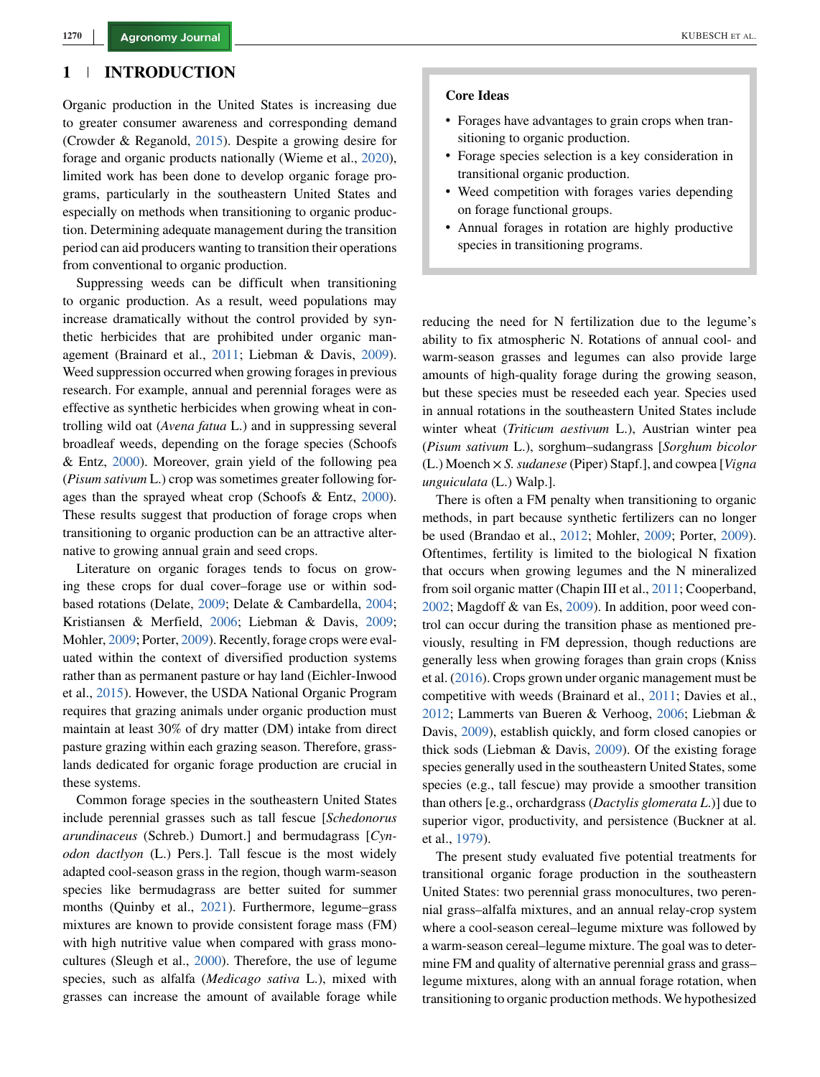## **1 INTRODUCTION**

Organic production in the United States is increasing due to greater consumer awareness and corresponding demand (Crowder & Reganold, [2015\)](#page-13-0). Despite a growing desire for forage and organic products nationally (Wieme et al., [2020\)](#page-14-0), limited work has been done to develop organic forage programs, particularly in the southeastern United States and especially on methods when transitioning to organic production. Determining adequate management during the transition period can aid producers wanting to transition their operations from conventional to organic production.

Suppressing weeds can be difficult when transitioning to organic production. As a result, weed populations may increase dramatically without the control provided by synthetic herbicides that are prohibited under organic management (Brainard et al., [2011;](#page-13-0) Liebman & Davis, [2009\)](#page-13-0). Weed suppression occurred when growing forages in previous research. For example, annual and perennial forages were as effective as synthetic herbicides when growing wheat in controlling wild oat (*Avena fatua* L.) and in suppressing several broadleaf weeds, depending on the forage species (Schoofs & Entz, [2000\)](#page-14-0). Moreover, grain yield of the following pea (*Pisum sativum* L.) crop was sometimes greater following forages than the sprayed wheat crop (Schoofs & Entz, [2000\)](#page-14-0). These results suggest that production of forage crops when transitioning to organic production can be an attractive alternative to growing annual grain and seed crops.

Literature on organic forages tends to focus on growing these crops for dual cover–forage use or within sodbased rotations (Delate, [2009;](#page-13-0) Delate & Cambardella, [2004;](#page-13-0) Kristiansen & Merfield, [2006;](#page-13-0) Liebman & Davis, [2009;](#page-13-0) Mohler, [2009;](#page-13-0) Porter, [2009\)](#page-14-0). Recently, forage crops were evaluated within the context of diversified production systems rather than as permanent pasture or hay land (Eichler-Inwood et al., [2015\)](#page-13-0). However, the USDA National Organic Program requires that grazing animals under organic production must maintain at least 30% of dry matter (DM) intake from direct pasture grazing within each grazing season. Therefore, grasslands dedicated for organic forage production are crucial in these systems.

Common forage species in the southeastern United States include perennial grasses such as tall fescue [*Schedonorus arundinaceus* (Schreb.) Dumort.] and bermudagrass [*Cynodon dactlyon* (L.) Pers.]. Tall fescue is the most widely adapted cool-season grass in the region, though warm-season species like bermudagrass are better suited for summer months (Quinby et al., [2021\)](#page-14-0). Furthermore, legume–grass mixtures are known to provide consistent forage mass (FM) with high nutritive value when compared with grass monocultures (Sleugh et al., [2000\)](#page-14-0). Therefore, the use of legume species, such as alfalfa (*Medicago sativa* L.), mixed with grasses can increase the amount of available forage while

#### **Core Ideas**

- ∙ Forages have advantages to grain crops when transitioning to organic production.
- ∙ Forage species selection is a key consideration in transitional organic production.
- ∙ Weed competition with forages varies depending on forage functional groups.
- ∙ Annual forages in rotation are highly productive species in transitioning programs.

reducing the need for N fertilization due to the legume's ability to fix atmospheric N. Rotations of annual cool- and warm-season grasses and legumes can also provide large amounts of high-quality forage during the growing season, but these species must be reseeded each year. Species used in annual rotations in the southeastern United States include winter wheat (*Triticum aestivum* L.), Austrian winter pea (*Pisum sativum* L.), sorghum–sudangrass [*Sorghum bicolor* (L.) Moench × *S. sudanese* (Piper) Stapf.], and cowpea [*Vigna unguiculata* (L.) Walp.].

There is often a FM penalty when transitioning to organic methods, in part because synthetic fertilizers can no longer be used (Brandao et al., [2012;](#page-13-0) Mohler, [2009;](#page-13-0) Porter, [2009\)](#page-14-0). Oftentimes, fertility is limited to the biological N fixation that occurs when growing legumes and the N mineralized from soil organic matter (Chapin III et al., [2011;](#page-13-0) Cooperband, [2002;](#page-13-0) Magdoff & van Es, [2009\)](#page-13-0). In addition, poor weed control can occur during the transition phase as mentioned previously, resulting in FM depression, though reductions are generally less when growing forages than grain crops (Kniss et al. [\(2016\)](#page-13-0). Crops grown under organic management must be competitive with weeds (Brainard et al., [2011;](#page-13-0) Davies et al., [2012;](#page-13-0) Lammerts van Bueren & Verhoog, [2006;](#page-13-0) Liebman & Davis, [2009\)](#page-13-0), establish quickly, and form closed canopies or thick sods (Liebman & Davis, [2009\)](#page-13-0). Of the existing forage species generally used in the southeastern United States, some species (e.g., tall fescue) may provide a smoother transition than others [e.g., orchardgrass (*Dactylis glomerata L*.)] due to superior vigor, productivity, and persistence (Buckner at al. et al., [1979\)](#page-13-0).

The present study evaluated five potential treatments for transitional organic forage production in the southeastern United States: two perennial grass monocultures, two perennial grass–alfalfa mixtures, and an annual relay-crop system where a cool-season cereal–legume mixture was followed by a warm-season cereal–legume mixture. The goal was to determine FM and quality of alternative perennial grass and grasslegume mixtures, along with an annual forage rotation, when transitioning to organic production methods. We hypothesized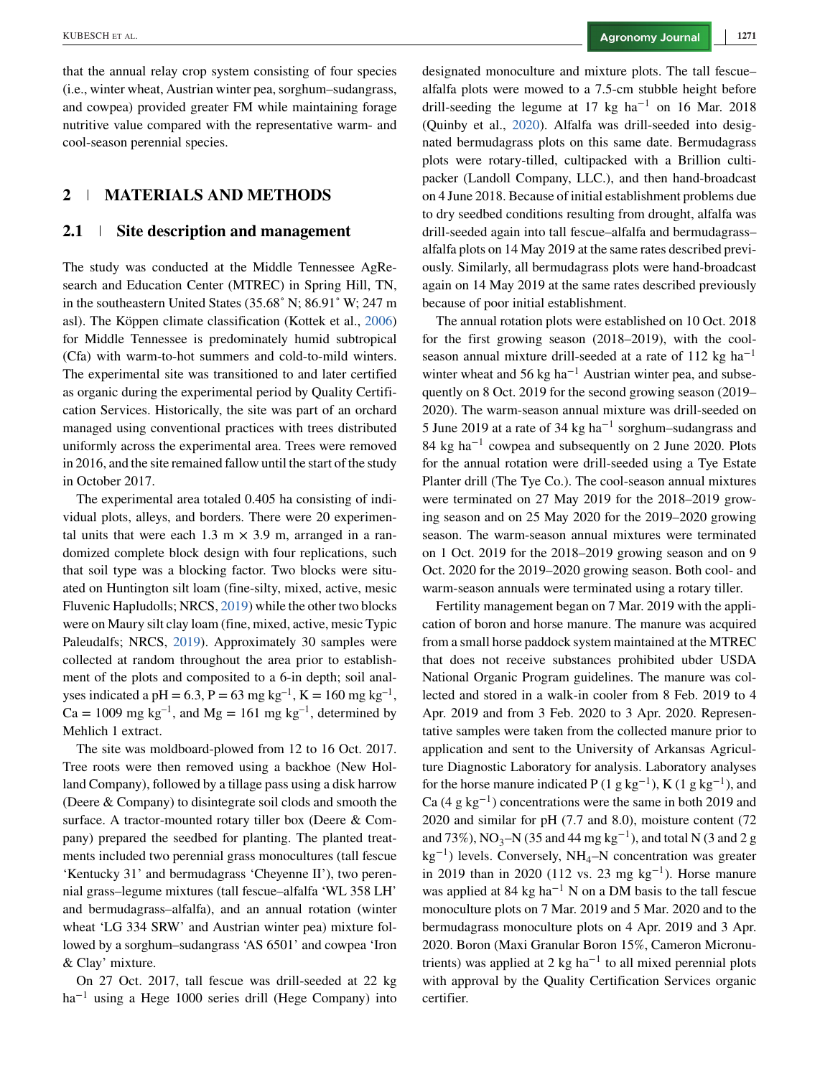that the annual relay crop system consisting of four species (i.e., winter wheat, Austrian winter pea, sorghum–sudangrass, and cowpea) provided greater FM while maintaining forage nutritive value compared with the representative warm- and cool-season perennial species.

# **2 MATERIALS AND METHODS**

## **2.1 Site description and management**

The study was conducted at the Middle Tennessee AgResearch and Education Center (MTREC) in Spring Hill, TN, in the southeastern United States (35.68˚ N; 86.91˚ W; 247 m asl). The Köppen climate classification (Kottek et al., [2006\)](#page-13-0) for Middle Tennessee is predominately humid subtropical (Cfa) with warm-to-hot summers and cold-to-mild winters. The experimental site was transitioned to and later certified as organic during the experimental period by Quality Certification Services. Historically, the site was part of an orchard managed using conventional practices with trees distributed uniformly across the experimental area. Trees were removed in 2016, and the site remained fallow until the start of the study in October 2017.

The experimental area totaled 0.405 ha consisting of individual plots, alleys, and borders. There were 20 experimental units that were each 1.3 m  $\times$  3.9 m, arranged in a randomized complete block design with four replications, such that soil type was a blocking factor. Two blocks were situated on Huntington silt loam (fine-silty, mixed, active, mesic Fluvenic Hapludolls; NRCS, [2019\)](#page-14-0) while the other two blocks were on Maury silt clay loam (fine, mixed, active, mesic Typic Paleudalfs; NRCS, [2019\)](#page-14-0). Approximately 30 samples were collected at random throughout the area prior to establishment of the plots and composited to a 6-in depth; soil analyses indicated a pH = 6.3, P = 63 mg kg<sup>-1</sup>, K = 160 mg kg<sup>-1</sup>,  $Ca = 1009$  mg kg<sup>-1</sup>, and Mg = 161 mg kg<sup>-1</sup>, determined by Mehlich 1 extract.

The site was moldboard-plowed from 12 to 16 Oct. 2017. Tree roots were then removed using a backhoe (New Holland Company), followed by a tillage pass using a disk harrow (Deere & Company) to disintegrate soil clods and smooth the surface. A tractor-mounted rotary tiller box (Deere & Company) prepared the seedbed for planting. The planted treatments included two perennial grass monocultures (tall fescue 'Kentucky 31' and bermudagrass 'Cheyenne II'), two perennial grass–legume mixtures (tall fescue–alfalfa 'WL 358 LH' and bermudagrass–alfalfa), and an annual rotation (winter wheat 'LG 334 SRW' and Austrian winter pea) mixture followed by a sorghum–sudangrass 'AS 6501' and cowpea 'Iron & Clay' mixture.

On 27 Oct. 2017, tall fescue was drill-seeded at 22 kg  $ha^{-1}$  using a Hege 1000 series drill (Hege Company) into

designated monoculture and mixture plots. The tall fescue– alfalfa plots were mowed to a 7.5-cm stubble height before drill-seeding the legume at 17 kg ha<sup>-1</sup> on 16 Mar. 2018 (Quinby et al., [2020\)](#page-14-0). Alfalfa was drill-seeded into designated bermudagrass plots on this same date. Bermudagrass plots were rotary-tilled, cultipacked with a Brillion cultipacker (Landoll Company, LLC.), and then hand-broadcast on 4 June 2018. Because of initial establishment problems due to dry seedbed conditions resulting from drought, alfalfa was drill-seeded again into tall fescue–alfalfa and bermudagrass– alfalfa plots on 14 May 2019 at the same rates described previously. Similarly, all bermudagrass plots were hand-broadcast again on 14 May 2019 at the same rates described previously because of poor initial establishment.

The annual rotation plots were established on 10 Oct. 2018 for the first growing season (2018–2019), with the coolseason annual mixture drill-seeded at a rate of 112 kg ha<sup>-1</sup> winter wheat and 56 kg ha<sup> $-1$ </sup> Austrian winter pea, and subsequently on 8 Oct. 2019 for the second growing season (2019– 2020). The warm-season annual mixture was drill-seeded on 5 June 2019 at a rate of 34 kg ha−<sup>1</sup> sorghum–sudangrass and 84 kg ha−<sup>1</sup> cowpea and subsequently on 2 June 2020. Plots for the annual rotation were drill-seeded using a Tye Estate Planter drill (The Tye Co.). The cool-season annual mixtures were terminated on 27 May 2019 for the 2018–2019 growing season and on 25 May 2020 for the 2019–2020 growing season. The warm-season annual mixtures were terminated on 1 Oct. 2019 for the 2018–2019 growing season and on 9 Oct. 2020 for the 2019–2020 growing season. Both cool- and warm-season annuals were terminated using a rotary tiller.

Fertility management began on 7 Mar. 2019 with the application of boron and horse manure. The manure was acquired from a small horse paddock system maintained at the MTREC that does not receive substances prohibited ubder USDA National Organic Program guidelines. The manure was collected and stored in a walk-in cooler from 8 Feb. 2019 to 4 Apr. 2019 and from 3 Feb. 2020 to 3 Apr. 2020. Representative samples were taken from the collected manure prior to application and sent to the University of Arkansas Agriculture Diagnostic Laboratory for analysis. Laboratory analyses for the horse manure indicated P (1 g kg<sup>-1</sup>), K (1 g kg<sup>-1</sup>), and Ca (4 g kg<sup>-1</sup>) concentrations were the same in both 2019 and 2020 and similar for pH (7.7 and 8.0), moisture content (72 and 73%), NO<sub>3</sub>–N (35 and 44 mg kg<sup>-1</sup>), and total N (3 and 2 g  $kg^{-1}$ ) levels. Conversely, NH<sub>4</sub>–N concentration was greater in 2019 than in 2020 (112 vs. 23 mg kg<sup>-1</sup>). Horse manure was applied at 84 kg ha<sup> $-1$ </sup> N on a DM basis to the tall fescue monoculture plots on 7 Mar. 2019 and 5 Mar. 2020 and to the bermudagrass monoculture plots on 4 Apr. 2019 and 3 Apr. 2020. Boron (Maxi Granular Boron 15%, Cameron Micronutrients) was applied at 2 kg ha−<sup>1</sup> to all mixed perennial plots with approval by the Quality Certification Services organic certifier.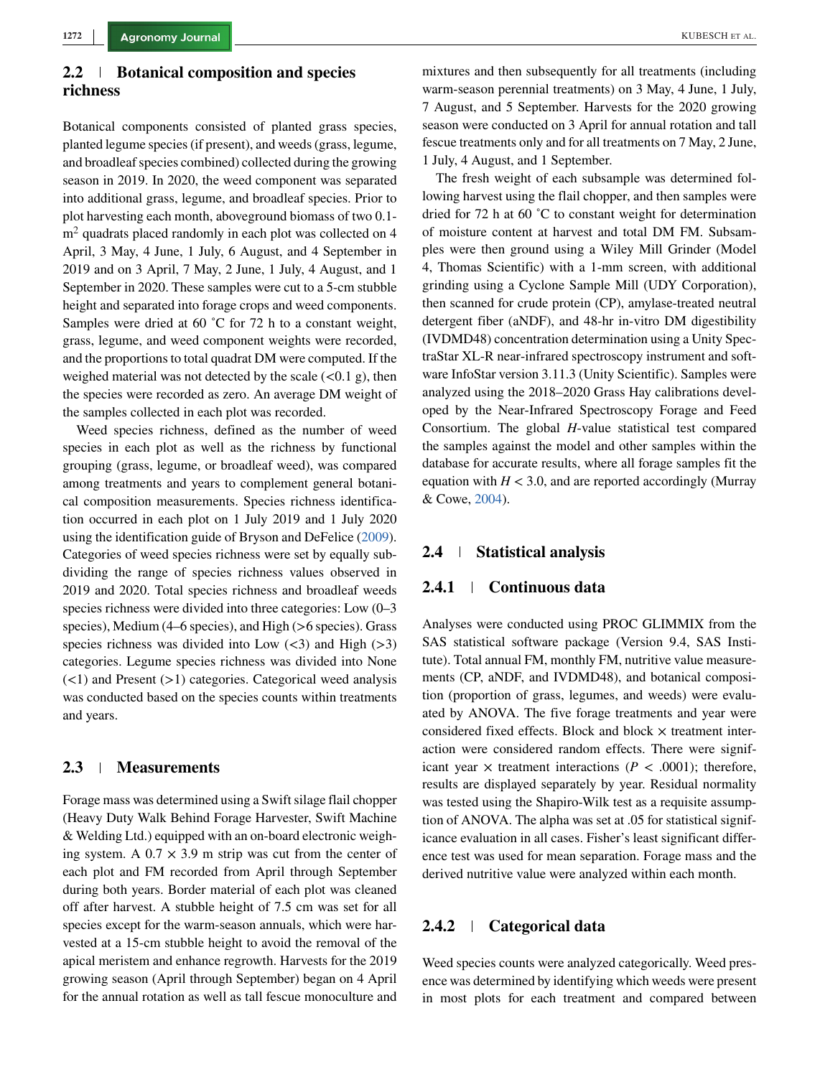# **2.2 Botanical composition and species richness**

Botanical components consisted of planted grass species, planted legume species (if present), and weeds (grass, legume, and broadleaf species combined) collected during the growing season in 2019. In 2020, the weed component was separated into additional grass, legume, and broadleaf species. Prior to plot harvesting each month, aboveground biomass of two 0.1  $m<sup>2</sup>$  quadrats placed randomly in each plot was collected on 4 April, 3 May, 4 June, 1 July, 6 August, and 4 September in 2019 and on 3 April, 7 May, 2 June, 1 July, 4 August, and 1 September in 2020. These samples were cut to a 5-cm stubble height and separated into forage crops and weed components. Samples were dried at 60 °C for 72 h to a constant weight, grass, legume, and weed component weights were recorded, and the proportions to total quadrat DM were computed. If the weighed material was not detected by the scale (*<*0.1 g), then the species were recorded as zero. An average DM weight of the samples collected in each plot was recorded.

Weed species richness, defined as the number of weed species in each plot as well as the richness by functional grouping (grass, legume, or broadleaf weed), was compared among treatments and years to complement general botanical composition measurements. Species richness identification occurred in each plot on 1 July 2019 and 1 July 2020 using the identification guide of Bryson and DeFelice [\(2009\)](#page-13-0). Categories of weed species richness were set by equally subdividing the range of species richness values observed in 2019 and 2020. Total species richness and broadleaf weeds species richness were divided into three categories: Low (0–3 species), Medium (4–6 species), and High (*>*6 species). Grass species richness was divided into Low (*<*3) and High (*>*3) categories. Legume species richness was divided into None (*<*1) and Present (*>*1) categories. Categorical weed analysis was conducted based on the species counts within treatments and years.

## **2.3 Measurements**

Forage mass was determined using a Swift silage flail chopper (Heavy Duty Walk Behind Forage Harvester, Swift Machine & Welding Ltd.) equipped with an on-board electronic weighing system. A  $0.7 \times 3.9$  m strip was cut from the center of each plot and FM recorded from April through September during both years. Border material of each plot was cleaned off after harvest. A stubble height of 7.5 cm was set for all species except for the warm-season annuals, which were harvested at a 15-cm stubble height to avoid the removal of the apical meristem and enhance regrowth. Harvests for the 2019 growing season (April through September) began on 4 April for the annual rotation as well as tall fescue monoculture and

mixtures and then subsequently for all treatments (including warm-season perennial treatments) on 3 May, 4 June, 1 July, 7 August, and 5 September. Harvests for the 2020 growing season were conducted on 3 April for annual rotation and tall fescue treatments only and for all treatments on 7 May, 2 June, 1 July, 4 August, and 1 September.

The fresh weight of each subsample was determined following harvest using the flail chopper, and then samples were dried for 72 h at 60 ˚C to constant weight for determination of moisture content at harvest and total DM FM. Subsamples were then ground using a Wiley Mill Grinder (Model 4, Thomas Scientific) with a 1-mm screen, with additional grinding using a Cyclone Sample Mill (UDY Corporation), then scanned for crude protein (CP), amylase-treated neutral detergent fiber (aNDF), and 48-hr in-vitro DM digestibility (IVDMD48) concentration determination using a Unity SpectraStar XL-R near-infrared spectroscopy instrument and software InfoStar version 3.11.3 (Unity Scientific). Samples were analyzed using the 2018–2020 Grass Hay calibrations developed by the Near-Infrared Spectroscopy Forage and Feed Consortium. The global *H*-value statistical test compared the samples against the model and other samples within the database for accurate results, where all forage samples fit the equation with  $H < 3.0$ , and are reported accordingly (Murray & Cowe, [2004\)](#page-13-0).

## **2.4 Statistical analysis**

## **2.4.1 Continuous data**

Analyses were conducted using PROC GLIMMIX from the SAS statistical software package (Version 9.4, SAS Institute). Total annual FM, monthly FM, nutritive value measurements (CP, aNDF, and IVDMD48), and botanical composition (proportion of grass, legumes, and weeds) were evaluated by ANOVA. The five forage treatments and year were considered fixed effects. Block and block  $\times$  treatment interaction were considered random effects. There were significant year  $\times$  treatment interactions ( $P < .0001$ ); therefore, results are displayed separately by year. Residual normality was tested using the Shapiro-Wilk test as a requisite assumption of ANOVA. The alpha was set at .05 for statistical significance evaluation in all cases. Fisher's least significant difference test was used for mean separation. Forage mass and the derived nutritive value were analyzed within each month.

## **2.4.2 Categorical data**

Weed species counts were analyzed categorically. Weed presence was determined by identifying which weeds were present in most plots for each treatment and compared between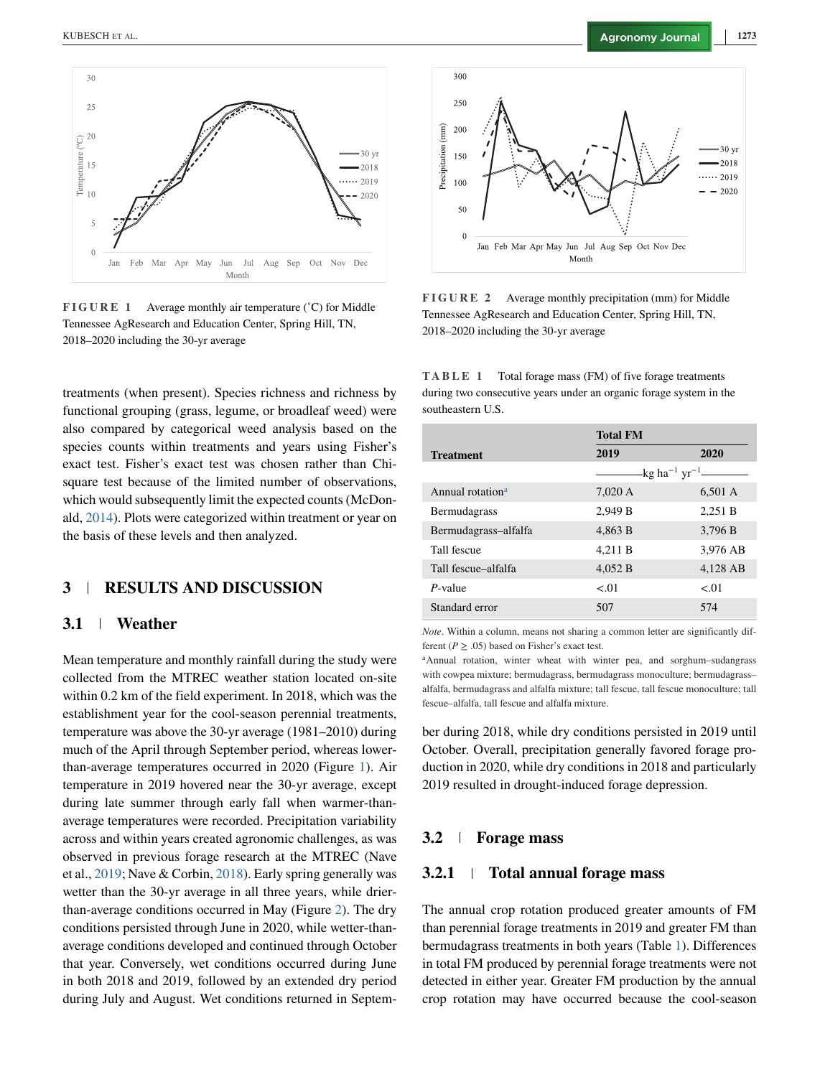<span id="page-4-0"></span>

**FIGURE 1** Average monthly air temperature (˚C) for Middle Tennessee AgResearch and Education Center, Spring Hill, TN, 2018–2020 including the 30-yr average

treatments (when present). Species richness and richness by functional grouping (grass, legume, or broadleaf weed) were also compared by categorical weed analysis based on the species counts within treatments and years using Fisher's exact test. Fisher's exact test was chosen rather than Chisquare test because of the limited number of observations, which would subsequently limit the expected counts (McDonald, [2014\)](#page-13-0). Plots were categorized within treatment or year on the basis of these levels and then analyzed.

# **3 RESULTS AND DISCUSSION**

#### **3.1 Weather**

Mean temperature and monthly rainfall during the study were collected from the MTREC weather station located on-site within 0.2 km of the field experiment. In 2018, which was the establishment year for the cool-season perennial treatments, temperature was above the 30-yr average (1981–2010) during much of the April through September period, whereas lowerthan-average temperatures occurred in 2020 (Figure 1). Air temperature in 2019 hovered near the 30-yr average, except during late summer through early fall when warmer-thanaverage temperatures were recorded. Precipitation variability across and within years created agronomic challenges, as was observed in previous forage research at the MTREC (Nave et al., [2019;](#page-14-0) Nave & Corbin, [2018\)](#page-14-0). Early spring generally was wetter than the 30-yr average in all three years, while drierthan-average conditions occurred in May (Figure 2). The dry conditions persisted through June in 2020, while wetter-thanaverage conditions developed and continued through October that year. Conversely, wet conditions occurred during June in both 2018 and 2019, followed by an extended dry period during July and August. Wet conditions returned in Septem-



**FIGURE 2** Average monthly precipitation (mm) for Middle Tennessee AgResearch and Education Center, Spring Hill, TN, 2018–2020 including the 30-yr average

**TABLE 1** Total forage mass (FM) of five forage treatments during two consecutive years under an organic forage system in the southeastern U.S.

|                              | <b>Total FM</b> |                             |  |
|------------------------------|-----------------|-----------------------------|--|
| <b>Treatment</b>             | 2019            | 2020                        |  |
|                              |                 | -kg ha $^{-1}$ yr $^{-1}$ — |  |
| Annual rotation <sup>a</sup> | 7,020 A         | 6,501 A                     |  |
| <b>Bermudagrass</b>          | 2.949 B         | 2.251 B                     |  |
| Bermudagrass-alfalfa         | 4,863 B         | 3,796 B                     |  |
| Tall fescue                  | 4.211 B         | 3.976 AB                    |  |
| Tall fescue-alfalfa          | 4.052 B         | 4.128 AB                    |  |
| $P$ -value                   | < 01            | < 01                        |  |
| Standard error               | 507             | 574                         |  |

*Note*. Within a column, means not sharing a common letter are significantly different  $(P > .05)$  based on Fisher's exact test.

aAnnual rotation, winter wheat with winter pea, and sorghum–sudangrass with cowpea mixture; bermudagrass, bermudagrass monoculture; bermudagrass– alfalfa, bermudagrass and alfalfa mixture; tall fescue, tall fescue monoculture; tall fescue–alfalfa, tall fescue and alfalfa mixture.

ber during 2018, while dry conditions persisted in 2019 until October. Overall, precipitation generally favored forage production in 2020, while dry conditions in 2018 and particularly 2019 resulted in drought-induced forage depression.

## **3.2 Forage mass**

## **3.2.1 Total annual forage mass**

The annual crop rotation produced greater amounts of FM than perennial forage treatments in 2019 and greater FM than bermudagrass treatments in both years (Table 1). Differences in total FM produced by perennial forage treatments were not detected in either year. Greater FM production by the annual crop rotation may have occurred because the cool-season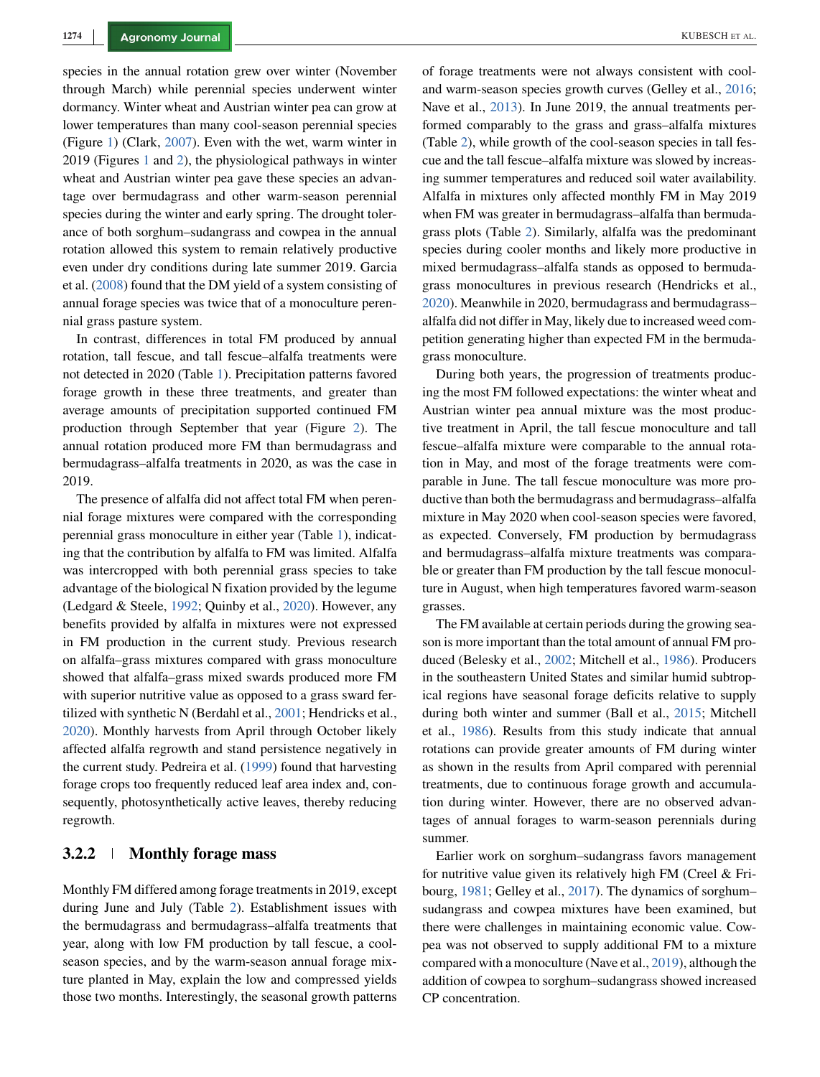species in the annual rotation grew over winter (November through March) while perennial species underwent winter dormancy. Winter wheat and Austrian winter pea can grow at lower temperatures than many cool-season perennial species (Figure [1\)](#page-4-0) (Clark, [2007\)](#page-13-0). Even with the wet, warm winter in 2019 (Figures [1](#page-4-0) and [2\)](#page-4-0), the physiological pathways in winter wheat and Austrian winter pea gave these species an advantage over bermudagrass and other warm-season perennial species during the winter and early spring. The drought tolerance of both sorghum–sudangrass and cowpea in the annual rotation allowed this system to remain relatively productive even under dry conditions during late summer 2019. Garcia et al. [\(2008\)](#page-13-0) found that the DM yield of a system consisting of annual forage species was twice that of a monoculture perennial grass pasture system.

In contrast, differences in total FM produced by annual rotation, tall fescue, and tall fescue–alfalfa treatments were not detected in 2020 (Table [1\)](#page-4-0). Precipitation patterns favored forage growth in these three treatments, and greater than average amounts of precipitation supported continued FM production through September that year (Figure [2\)](#page-4-0). The annual rotation produced more FM than bermudagrass and bermudagrass–alfalfa treatments in 2020, as was the case in 2019.

The presence of alfalfa did not affect total FM when perennial forage mixtures were compared with the corresponding perennial grass monoculture in either year (Table [1\)](#page-4-0), indicating that the contribution by alfalfa to FM was limited. Alfalfa was intercropped with both perennial grass species to take advantage of the biological N fixation provided by the legume (Ledgard & Steele, [1992;](#page-13-0) Quinby et al., [2020\)](#page-14-0). However, any benefits provided by alfalfa in mixtures were not expressed in FM production in the current study. Previous research on alfalfa–grass mixtures compared with grass monoculture showed that alfalfa–grass mixed swards produced more FM with superior nutritive value as opposed to a grass sward fertilized with synthetic N (Berdahl et al., [2001;](#page-13-0) Hendricks et al., [2020\)](#page-13-0). Monthly harvests from April through October likely affected alfalfa regrowth and stand persistence negatively in the current study. Pedreira et al. [\(1999\)](#page-14-0) found that harvesting forage crops too frequently reduced leaf area index and, consequently, photosynthetically active leaves, thereby reducing regrowth.

### **3.2.2 Monthly forage mass**

Monthly FM differed among forage treatments in 2019, except during June and July (Table [2\)](#page-6-0). Establishment issues with the bermudagrass and bermudagrass–alfalfa treatments that year, along with low FM production by tall fescue, a coolseason species, and by the warm-season annual forage mixture planted in May, explain the low and compressed yields those two months. Interestingly, the seasonal growth patterns of forage treatments were not always consistent with cooland warm-season species growth curves (Gelley et al., [2016;](#page-13-0) Nave et al., [2013\)](#page-14-0). In June 2019, the annual treatments performed comparably to the grass and grass–alfalfa mixtures (Table [2\)](#page-6-0), while growth of the cool-season species in tall fescue and the tall fescue–alfalfa mixture was slowed by increasing summer temperatures and reduced soil water availability. Alfalfa in mixtures only affected monthly FM in May 2019 when FM was greater in bermudagrass–alfalfa than bermudagrass plots (Table [2\)](#page-6-0). Similarly, alfalfa was the predominant species during cooler months and likely more productive in mixed bermudagrass–alfalfa stands as opposed to bermudagrass monocultures in previous research (Hendricks et al., [2020\)](#page-13-0). Meanwhile in 2020, bermudagrass and bermudagrass– alfalfa did not differ in May, likely due to increased weed competition generating higher than expected FM in the bermudagrass monoculture.

During both years, the progression of treatments producing the most FM followed expectations: the winter wheat and Austrian winter pea annual mixture was the most productive treatment in April, the tall fescue monoculture and tall fescue–alfalfa mixture were comparable to the annual rotation in May, and most of the forage treatments were comparable in June. The tall fescue monoculture was more productive than both the bermudagrass and bermudagrass–alfalfa mixture in May 2020 when cool-season species were favored, as expected. Conversely, FM production by bermudagrass and bermudagrass–alfalfa mixture treatments was comparable or greater than FM production by the tall fescue monoculture in August, when high temperatures favored warm-season grasses.

The FM available at certain periods during the growing season is more important than the total amount of annual FM produced (Belesky et al., [2002;](#page-13-0) Mitchell et al., [1986\)](#page-13-0). Producers in the southeastern United States and similar humid subtropical regions have seasonal forage deficits relative to supply during both winter and summer (Ball et al., [2015;](#page-13-0) Mitchell et al., [1986\)](#page-13-0). Results from this study indicate that annual rotations can provide greater amounts of FM during winter as shown in the results from April compared with perennial treatments, due to continuous forage growth and accumulation during winter. However, there are no observed advantages of annual forages to warm-season perennials during summer.

Earlier work on sorghum–sudangrass favors management for nutritive value given its relatively high FM (Creel & Fribourg, [1981;](#page-13-0) Gelley et al., [2017\)](#page-13-0). The dynamics of sorghum– sudangrass and cowpea mixtures have been examined, but there were challenges in maintaining economic value. Cowpea was not observed to supply additional FM to a mixture compared with a monoculture (Nave et al., [2019\)](#page-14-0), although the addition of cowpea to sorghum–sudangrass showed increased CP concentration.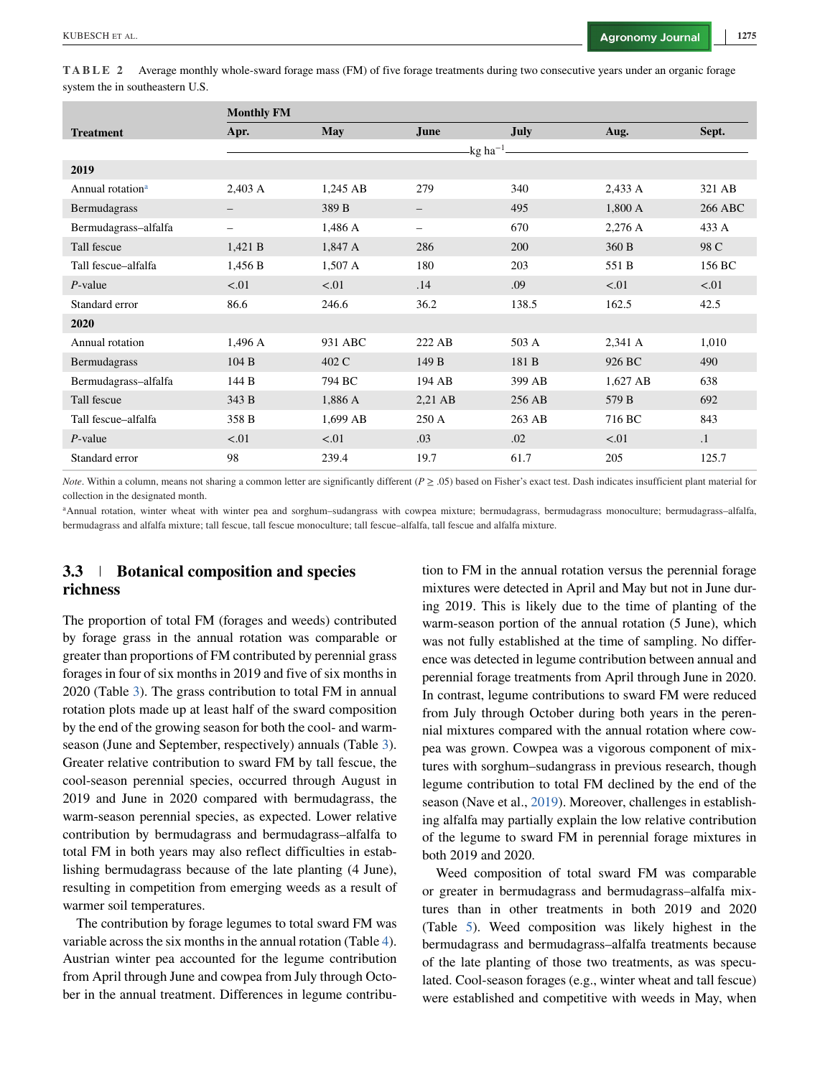<span id="page-6-0"></span>**TABLE 2** Average monthly whole-sward forage mass (FM) of five forage treatments during two consecutive years under an organic forage system the in southeastern U.S.

|                              | <b>Monthly FM</b> |                   |                        |        |          |           |
|------------------------------|-------------------|-------------------|------------------------|--------|----------|-----------|
| <b>Treatment</b>             | Apr.              | <b>May</b>        | June                   | July   | Aug.     | Sept.     |
|                              |                   |                   | $-kg$ ha <sup>-1</sup> |        |          |           |
| 2019                         |                   |                   |                        |        |          |           |
| Annual rotation <sup>a</sup> | 2,403 A           | 1,245 AB          | 279                    | 340    | 2,433 A  | 321 AB    |
| Bermudagrass                 |                   | 389 B             | -                      | 495    | 1,800 A  | 266 ABC   |
| Bermudagrass-alfalfa         | -                 | 1,486 A           | -                      | 670    | 2,276 A  | 433 A     |
| Tall fescue                  | 1,421 B           | 1,847 A           | 286                    | 200    | 360 B    | 98 C      |
| Tall fescue-alfalfa          | 1,456 B           | $1,507 \text{ A}$ | 180                    | 203    | 551 B    | 156 BC    |
| $P$ -value                   | < .01             | < 01              | .14                    | .09    | < 0.01   | < 01      |
| Standard error               | 86.6              | 246.6             | 36.2                   | 138.5  | 162.5    | 42.5      |
| 2020                         |                   |                   |                        |        |          |           |
| Annual rotation              | 1,496 A           | 931 ABC           | 222 AB                 | 503 A  | 2,341 A  | 1,010     |
| Bermudagrass                 | 104 B             | 402 C             | 149 B                  | 181 B  | 926 BC   | 490       |
| Bermudagrass-alfalfa         | 144 B             | 794 BC            | 194 AB                 | 399 AB | 1,627 AB | 638       |
| Tall fescue                  | 343 B             | 1,886 A           | 2,21 AB                | 256 AB | 579 B    | 692       |
| Tall fescue-alfalfa          | 358 B             | 1,699 AB          | 250 A                  | 263 AB | 716 BC   | 843       |
| $P$ -value                   | < 0.01            | < 0.01            | .03                    | .02    | < 01     | $\cdot$ 1 |
| Standard error               | 98                | 239.4             | 19.7                   | 61.7   | 205      | 125.7     |

*Note*. Within a column, means not sharing a common letter are significantly different (*P*  $\geq$  .05) based on Fisher's exact test. Dash indicates insufficient plant material for collection in the designated month.

<sup>a</sup>Annual rotation, winter wheat with winter pea and sorghum–sudangrass with cowpea mixture; bermudagrass, bermudagrass monoculture; bermudagrass–alfalfa, bermudagrass and alfalfa mixture; tall fescue, tall fescue monoculture; tall fescue–alfalfa, tall fescue and alfalfa mixture.

# **3.3 Botanical composition and species richness**

The proportion of total FM (forages and weeds) contributed by forage grass in the annual rotation was comparable or greater than proportions of FM contributed by perennial grass forages in four of six months in 2019 and five of six months in 2020 (Table [3\)](#page-7-0). The grass contribution to total FM in annual rotation plots made up at least half of the sward composition by the end of the growing season for both the cool- and warmseason (June and September, respectively) annuals (Table [3\)](#page-7-0). Greater relative contribution to sward FM by tall fescue, the cool-season perennial species, occurred through August in 2019 and June in 2020 compared with bermudagrass, the warm-season perennial species, as expected. Lower relative contribution by bermudagrass and bermudagrass–alfalfa to total FM in both years may also reflect difficulties in establishing bermudagrass because of the late planting (4 June), resulting in competition from emerging weeds as a result of warmer soil temperatures.

The contribution by forage legumes to total sward FM was variable across the six months in the annual rotation (Table [4\)](#page-7-0). Austrian winter pea accounted for the legume contribution from April through June and cowpea from July through October in the annual treatment. Differences in legume contribution to FM in the annual rotation versus the perennial forage mixtures were detected in April and May but not in June during 2019. This is likely due to the time of planting of the warm-season portion of the annual rotation (5 June), which was not fully established at the time of sampling. No difference was detected in legume contribution between annual and perennial forage treatments from April through June in 2020. In contrast, legume contributions to sward FM were reduced from July through October during both years in the perennial mixtures compared with the annual rotation where cowpea was grown. Cowpea was a vigorous component of mixtures with sorghum–sudangrass in previous research, though legume contribution to total FM declined by the end of the season (Nave et al., [2019\)](#page-14-0). Moreover, challenges in establishing alfalfa may partially explain the low relative contribution of the legume to sward FM in perennial forage mixtures in both 2019 and 2020.

Weed composition of total sward FM was comparable or greater in bermudagrass and bermudagrass–alfalfa mixtures than in other treatments in both 2019 and 2020 (Table [5\)](#page-8-0). Weed composition was likely highest in the bermudagrass and bermudagrass–alfalfa treatments because of the late planting of those two treatments, as was speculated. Cool-season forages (e.g., winter wheat and tall fescue) were established and competitive with weeds in May, when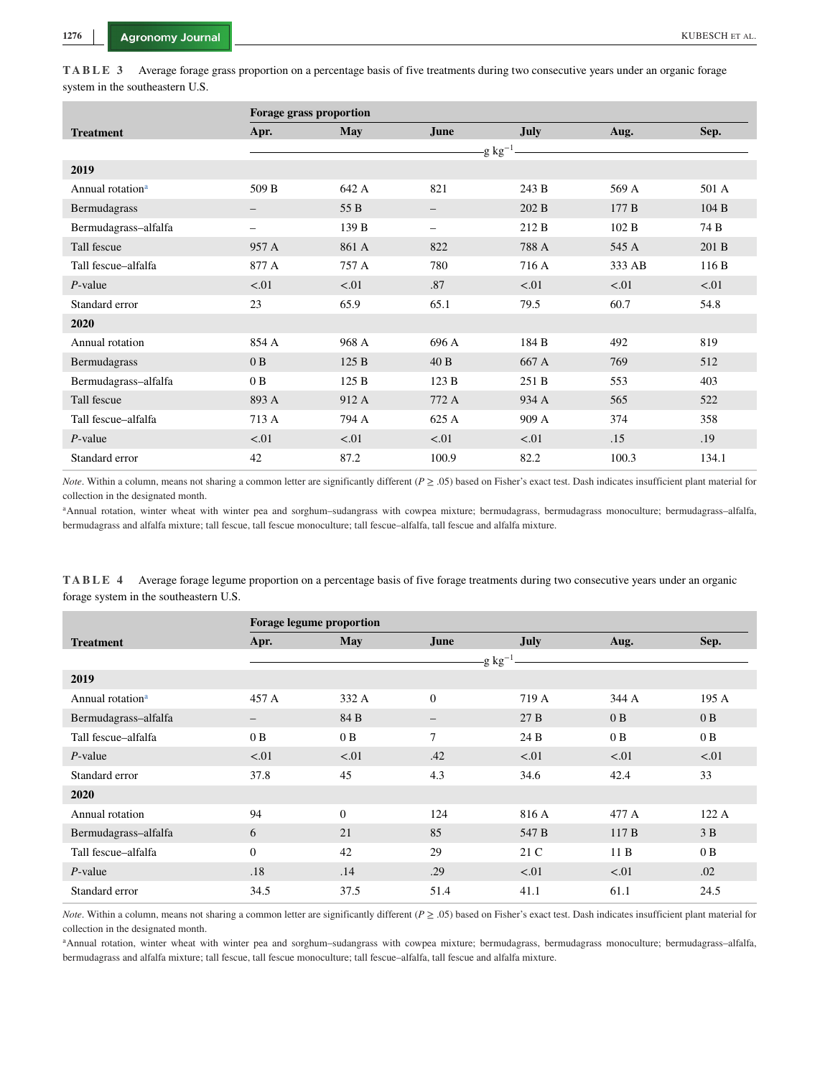<span id="page-7-0"></span>

| TABLE 3 Average forage grass proportion on a percentage basis of five treatments during two consecutive years under an organic forage |  |  |
|---------------------------------------------------------------------------------------------------------------------------------------|--|--|
| system in the southeastern U.S.                                                                                                       |  |  |

|                              | Forage grass proportion |            |                          |             |        |       |  |
|------------------------------|-------------------------|------------|--------------------------|-------------|--------|-------|--|
| <b>Treatment</b>             | Apr.                    | <b>May</b> | <b>June</b>              | <b>July</b> | Aug.   | Sep.  |  |
|                              |                         |            | -g $kg^{-1}$             |             |        |       |  |
| 2019                         |                         |            |                          |             |        |       |  |
| Annual rotation <sup>a</sup> | 509 B                   | 642 A      | 821                      | 243 B       | 569 A  | 501 A |  |
| Bermudagrass                 | -                       | 55 B       |                          | 202 B       | 177B   | 104B  |  |
| Bermudagrass-alfalfa         | -                       | 139 B      | $\overline{\phantom{0}}$ | 212 B       | 102 B  | 74 B  |  |
| Tall fescue                  | 957 A                   | 861 A      | 822                      | 788 A       | 545 A  | 201 B |  |
| Tall fescue-alfalfa          | 877 A                   | 757 A      | 780                      | 716 A       | 333 AB | 116B  |  |
| $P$ -value                   | < .01                   | < 01       | .87                      | < 01        | < 01   | < 01  |  |
| Standard error               | 23                      | 65.9       | 65.1                     | 79.5        | 60.7   | 54.8  |  |
| 2020                         |                         |            |                          |             |        |       |  |
| Annual rotation              | 854 A                   | 968 A      | 696 A                    | 184 B       | 492    | 819   |  |
| Bermudagrass                 | 0B                      | 125B       | 40B                      | 667 A       | 769    | 512   |  |
| Bermudagrass-alfalfa         | 0B                      | 125B       | 123B                     | 251 B       | 553    | 403   |  |
| Tall fescue                  | 893 A                   | 912 A      | 772 A                    | 934 A       | 565    | 522   |  |
| Tall fescue-alfalfa          | 713 A                   | 794 A      | 625 A                    | 909 A       | 374    | 358   |  |
| $P$ -value                   | < .01                   | < 0.01     | < 0.01                   | < 01        | .15    | .19   |  |
| Standard error               | 42                      | 87.2       | 100.9                    | 82.2        | 100.3  | 134.1 |  |

*Note*. Within a column, means not sharing a common letter are significantly different (*P*  $\geq$  .05) based on Fisher's exact test. Dash indicates insufficient plant material for collection in the designated month.

<sup>a</sup>Annual rotation, winter wheat with winter pea and sorghum-sudangrass with cowpea mixture; bermudagrass, bermudagrass monoculture; bermudagrass-alfalfa, bermudagrass and alfalfa mixture; tall fescue, tall fescue monoculture; tall fescue–alfalfa, tall fescue and alfalfa mixture.

TABLE 4 Average forage legume proportion on a percentage basis of five forage treatments during two consecutive years under an organic forage system in the southeastern U.S.

|                              | Forage legume proportion |                |                   |        |        |        |
|------------------------------|--------------------------|----------------|-------------------|--------|--------|--------|
| <b>Treatment</b>             | Apr.                     | May            | June              | July   | Aug.   | Sep.   |
|                              |                          |                | -g $kg^{-1}$      |        |        |        |
| 2019                         |                          |                |                   |        |        |        |
| Annual rotation <sup>a</sup> | 457 A                    | 332 A          | $\Omega$          | 719 A  | 344 A  | 195A   |
| Bermudagrass-alfalfa         | $\qquad \qquad -$        | 84 B           | $\qquad \qquad -$ | 27B    | 0B     | 0B     |
| Tall fescue-alfalfa          | 0B                       | 0B             | 7                 | 24 B   | 0B     | 0B     |
| $P$ -value                   | < 01                     | < 0.01         | .42               | < 0.01 | < 0.01 | < 0.01 |
| Standard error               | 37.8                     | 45             | 4.3               | 34.6   | 42.4   | 33     |
| 2020                         |                          |                |                   |        |        |        |
| Annual rotation              | 94                       | $\overline{0}$ | 124               | 816 A  | 477 A  | 122A   |
| Bermudagrass-alfalfa         | 6                        | 21             | 85                | 547 B  | 117B   | 3B     |
| Tall fescue-alfalfa          | $\boldsymbol{0}$         | 42             | 29                | 21 C   | 11B    | 0B     |
| $P$ -value                   | .18                      | .14            | .29               | < 0.01 | < 0.01 | .02    |
| Standard error               | 34.5                     | 37.5           | 51.4              | 41.1   | 61.1   | 24.5   |

*Note*. Within a column, means not sharing a common letter are significantly different (*P*  $\geq$  .05) based on Fisher's exact test. Dash indicates insufficient plant material for collection in the designated month.

aAnnual rotation, winter wheat with winter pea and sorghum-sudangrass with cowpea mixture; bermudagrass, bermudagrass monoculture; bermudagrass-alfalfa, bermudagrass and alfalfa mixture; tall fescue, tall fescue monoculture; tall fescue–alfalfa, tall fescue and alfalfa mixture.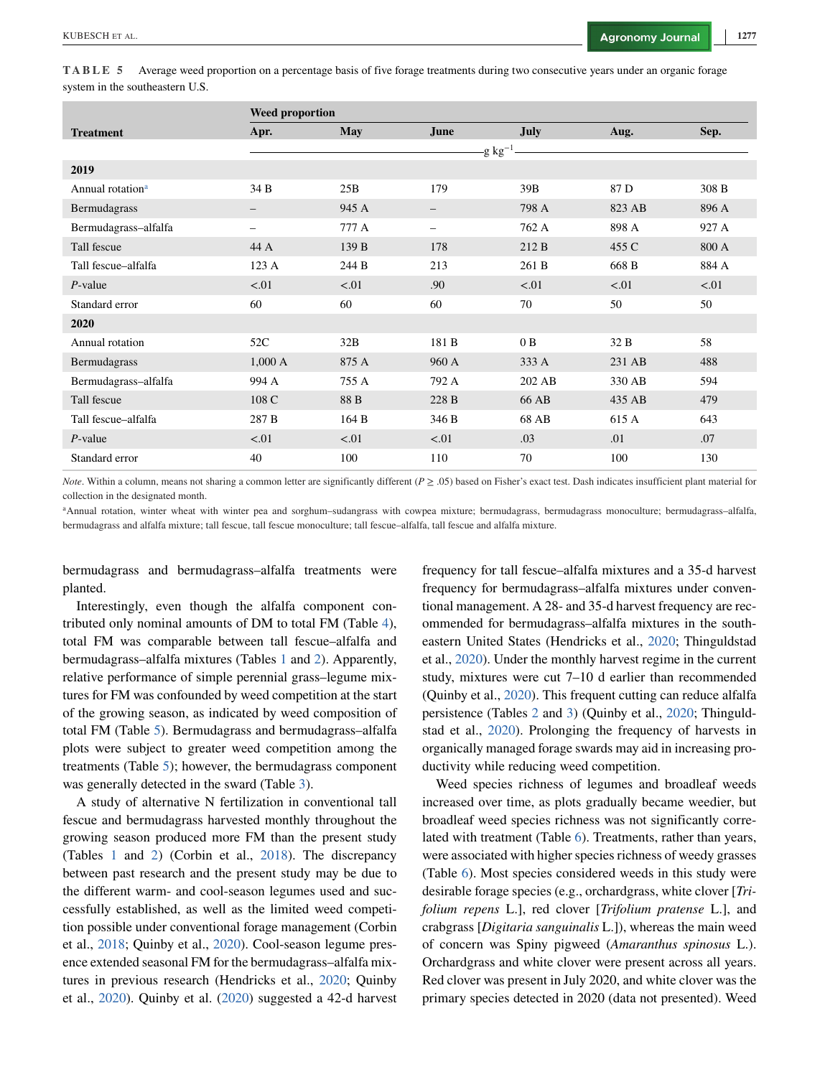<span id="page-8-0"></span>**TABLE 5** Average weed proportion on a percentage basis of five forage treatments during two consecutive years under an organic forage system in the southeastern U.S.

|                              | <b>Weed proportion</b> |       |                 |             |        |       |  |
|------------------------------|------------------------|-------|-----------------|-------------|--------|-------|--|
| <b>Treatment</b>             | Apr.                   | May   | June            | <b>July</b> | Aug.   | Sep.  |  |
|                              |                        |       | -g kg $^{-1}$ . |             |        |       |  |
| 2019                         |                        |       |                 |             |        |       |  |
| Annual rotation <sup>a</sup> | 34 B                   | 25B   | 179             | 39B         | 87 D   | 308 B |  |
| Bermudagrass                 | -                      | 945 A |                 | 798 A       | 823 AB | 896 A |  |
| Bermudagrass-alfalfa         | -                      | 777 A | -               | 762 A       | 898 A  | 927 A |  |
| Tall fescue                  | 44 A                   | 139 B | 178             | 212B        | 455 C  | 800 A |  |
| Tall fescue-alfalfa          | 123A                   | 244 B | 213             | 261 B       | 668 B  | 884 A |  |
| $P$ -value                   | < 01                   | < 01  | .90             | < 01        | < 01   | < 01  |  |
| Standard error               | 60                     | 60    | 60              | 70          | 50     | 50    |  |
| 2020                         |                        |       |                 |             |        |       |  |
| Annual rotation              | 52C                    | 32B   | 181 B           | 0B          | 32 B   | 58    |  |
| Bermudagrass                 | 1,000 A                | 875 A | 960 A           | 333 A       | 231 AB | 488   |  |
| Bermudagrass-alfalfa         | 994 A                  | 755 A | 792 A           | 202 AB      | 330 AB | 594   |  |
| Tall fescue                  | 108 C                  | 88 B  | 228 B           | 66 AB       | 435 AB | 479   |  |
| Tall fescue-alfalfa          | 287 B                  | 164 B | 346 B           | 68 AB       | 615 A  | 643   |  |
| $P$ -value                   | < 01                   | < 01  | < 01            | .03         | .01    | .07   |  |
| Standard error               | 40                     | 100   | 110             | 70          | 100    | 130   |  |

*Note*. Within a column, means not sharing a common letter are significantly different (*P*  $\geq$  .05) based on Fisher's exact test. Dash indicates insufficient plant material for collection in the designated month.

aAnnual rotation, winter wheat with winter pea and sorghum–sudangrass with cowpea mixture; bermudagrass, bermudagrass monoculture; bermudagrass–alfalfa, bermudagrass and alfalfa mixture; tall fescue, tall fescue monoculture; tall fescue–alfalfa, tall fescue and alfalfa mixture.

bermudagrass and bermudagrass–alfalfa treatments were planted.

Interestingly, even though the alfalfa component contributed only nominal amounts of DM to total FM (Table [4\)](#page-7-0), total FM was comparable between tall fescue–alfalfa and bermudagrass–alfalfa mixtures (Tables [1](#page-4-0) and [2\)](#page-6-0). Apparently, relative performance of simple perennial grass–legume mixtures for FM was confounded by weed competition at the start of the growing season, as indicated by weed composition of total FM (Table 5). Bermudagrass and bermudagrass–alfalfa plots were subject to greater weed competition among the treatments (Table 5); however, the bermudagrass component was generally detected in the sward (Table [3\)](#page-7-0).

A study of alternative N fertilization in conventional tall fescue and bermudagrass harvested monthly throughout the growing season produced more FM than the present study (Tables [1](#page-4-0) and [2\)](#page-6-0) (Corbin et al., [2018\)](#page-13-0). The discrepancy between past research and the present study may be due to the different warm- and cool-season legumes used and successfully established, as well as the limited weed competition possible under conventional forage management (Corbin et al., [2018;](#page-13-0) Quinby et al., [2020\)](#page-14-0). Cool-season legume presence extended seasonal FM for the bermudagrass–alfalfa mixtures in previous research (Hendricks et al., [2020;](#page-13-0) Quinby et al., [2020\)](#page-14-0). Quinby et al. [\(2020\)](#page-14-0) suggested a 42-d harvest

frequency for tall fescue–alfalfa mixtures and a 35-d harvest frequency for bermudagrass–alfalfa mixtures under conventional management. A 28- and 35-d harvest frequency are recommended for bermudagrass–alfalfa mixtures in the southeastern United States (Hendricks et al., [2020;](#page-13-0) Thinguldstad et al., [2020\)](#page-14-0). Under the monthly harvest regime in the current study, mixtures were cut 7–10 d earlier than recommended (Quinby et al., [2020\)](#page-14-0). This frequent cutting can reduce alfalfa persistence (Tables [2](#page-6-0) and [3\)](#page-7-0) (Quinby et al., [2020;](#page-14-0) Thinguldstad et al., [2020\)](#page-14-0). Prolonging the frequency of harvests in organically managed forage swards may aid in increasing productivity while reducing weed competition.

Weed species richness of legumes and broadleaf weeds increased over time, as plots gradually became weedier, but broadleaf weed species richness was not significantly correlated with treatment (Table [6\)](#page-9-0). Treatments, rather than years, were associated with higher species richness of weedy grasses (Table [6\)](#page-9-0). Most species considered weeds in this study were desirable forage species (e.g., orchardgrass, white clover [*Trifolium repens* L.], red clover [*Trifolium pratense* L.], and crabgrass [*Digitaria sanguinalis* L.]), whereas the main weed of concern was Spiny pigweed (*Amaranthus spinosus* L.). Orchardgrass and white clover were present across all years. Red clover was present in July 2020, and white clover was the primary species detected in 2020 (data not presented). Weed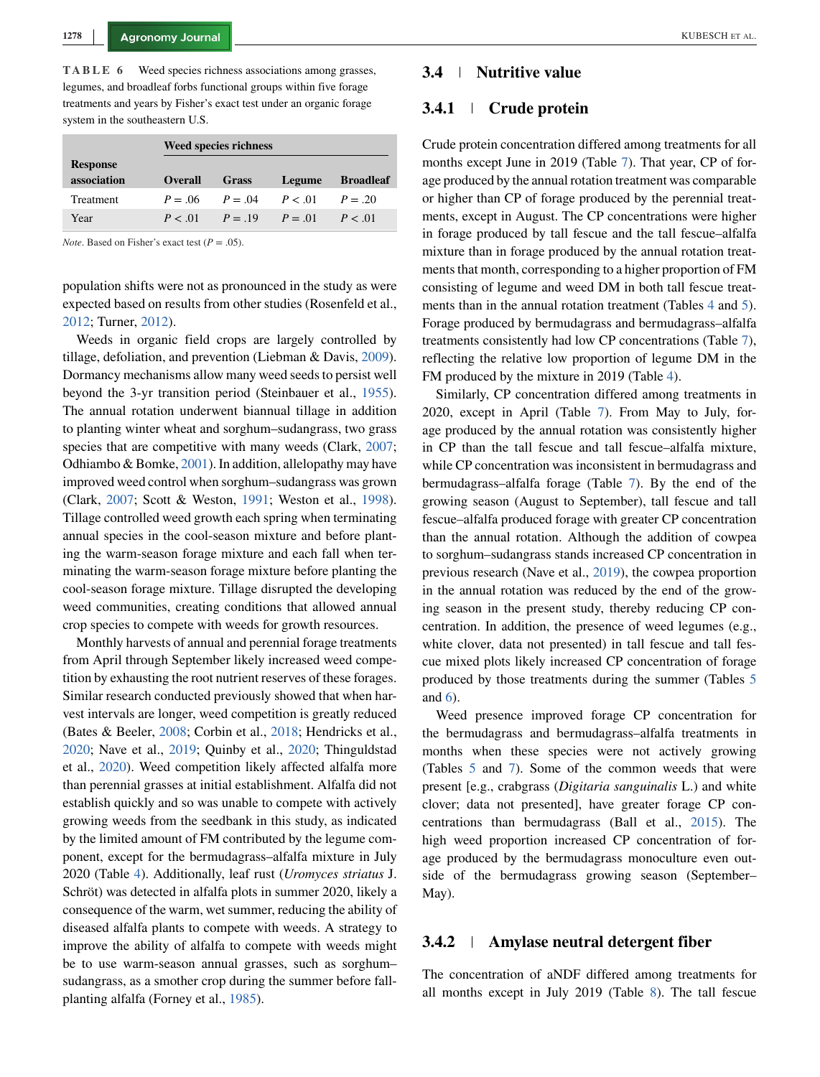<span id="page-9-0"></span>**TABLE 6** Weed species richness associations among grasses, legumes, and broadleaf forbs functional groups within five forage treatments and years by Fisher's exact test under an organic forage system in the southeastern U.S.

|                 | <b>Weed species richness</b> |                            |        |                  |  |  |  |
|-----------------|------------------------------|----------------------------|--------|------------------|--|--|--|
| <b>Response</b> |                              |                            |        |                  |  |  |  |
| association     | <b>Overall</b>               | <b>Grass</b>               | Legume | <b>Broadleaf</b> |  |  |  |
| Treatment       | $P = 06$ $P = 04$            |                            | P < 01 | $P = 20$         |  |  |  |
| Year            |                              | $P < 01$ $P = 19$ $P = 01$ |        | P < 01           |  |  |  |

*Note*. Based on Fisher's exact test  $(P = .05)$ .

population shifts were not as pronounced in the study as were expected based on results from other studies (Rosenfeld et al., [2012;](#page-14-0) Turner, [2012\)](#page-14-0).

Weeds in organic field crops are largely controlled by tillage, defoliation, and prevention (Liebman & Davis, [2009\)](#page-13-0). Dormancy mechanisms allow many weed seeds to persist well beyond the 3-yr transition period (Steinbauer et al., [1955\)](#page-14-0). The annual rotation underwent biannual tillage in addition to planting winter wheat and sorghum–sudangrass, two grass species that are competitive with many weeds (Clark, [2007;](#page-13-0) Odhiambo & Bomke, [2001\)](#page-14-0). In addition, allelopathy may have improved weed control when sorghum–sudangrass was grown (Clark, [2007;](#page-13-0) Scott & Weston, [1991;](#page-14-0) Weston et al., [1998\)](#page-14-0). Tillage controlled weed growth each spring when terminating annual species in the cool-season mixture and before planting the warm-season forage mixture and each fall when terminating the warm-season forage mixture before planting the cool-season forage mixture. Tillage disrupted the developing weed communities, creating conditions that allowed annual crop species to compete with weeds for growth resources.

Monthly harvests of annual and perennial forage treatments from April through September likely increased weed competition by exhausting the root nutrient reserves of these forages. Similar research conducted previously showed that when harvest intervals are longer, weed competition is greatly reduced (Bates & Beeler, [2008;](#page-13-0) Corbin et al., [2018;](#page-13-0) Hendricks et al., [2020;](#page-13-0) Nave et al., [2019;](#page-14-0) Quinby et al., [2020;](#page-14-0) Thinguldstad et al., [2020\)](#page-14-0). Weed competition likely affected alfalfa more than perennial grasses at initial establishment. Alfalfa did not establish quickly and so was unable to compete with actively growing weeds from the seedbank in this study, as indicated by the limited amount of FM contributed by the legume component, except for the bermudagrass–alfalfa mixture in July 2020 (Table [4\)](#page-7-0). Additionally, leaf rust (*Uromyces striatus* J. Schröt) was detected in alfalfa plots in summer 2020, likely a consequence of the warm, wet summer, reducing the ability of diseased alfalfa plants to compete with weeds. A strategy to improve the ability of alfalfa to compete with weeds might be to use warm-season annual grasses, such as sorghum– sudangrass, as a smother crop during the summer before fallplanting alfalfa (Forney et al., [1985\)](#page-13-0).

#### **3.4 Nutritive value**

### **3.4.1 Crude protein**

Crude protein concentration differed among treatments for all months except June in 2019 (Table [7\)](#page-10-0). That year, CP of forage produced by the annual rotation treatment was comparable or higher than CP of forage produced by the perennial treatments, except in August. The CP concentrations were higher in forage produced by tall fescue and the tall fescue–alfalfa mixture than in forage produced by the annual rotation treatments that month, corresponding to a higher proportion of FM consisting of legume and weed DM in both tall fescue treat-ments than in the annual rotation treatment (Tables [4](#page-7-0) and [5\)](#page-8-0). Forage produced by bermudagrass and bermudagrass–alfalfa treatments consistently had low CP concentrations (Table [7\)](#page-10-0), reflecting the relative low proportion of legume DM in the FM produced by the mixture in 2019 (Table [4\)](#page-7-0).

Similarly, CP concentration differed among treatments in 2020, except in April (Table [7\)](#page-10-0). From May to July, forage produced by the annual rotation was consistently higher in CP than the tall fescue and tall fescue–alfalfa mixture, while CP concentration was inconsistent in bermudagrass and bermudagrass–alfalfa forage (Table [7\)](#page-10-0). By the end of the growing season (August to September), tall fescue and tall fescue–alfalfa produced forage with greater CP concentration than the annual rotation. Although the addition of cowpea to sorghum–sudangrass stands increased CP concentration in previous research (Nave et al., [2019\)](#page-14-0), the cowpea proportion in the annual rotation was reduced by the end of the growing season in the present study, thereby reducing CP concentration. In addition, the presence of weed legumes (e.g., white clover, data not presented) in tall fescue and tall fescue mixed plots likely increased CP concentration of forage produced by those treatments during the summer (Tables [5](#page-8-0) and 6).

Weed presence improved forage CP concentration for the bermudagrass and bermudagrass–alfalfa treatments in months when these species were not actively growing (Tables [5](#page-8-0) and [7\)](#page-10-0). Some of the common weeds that were present [e.g., crabgrass (*Digitaria sanguinalis* L.) and white clover; data not presented], have greater forage CP concentrations than bermudagrass (Ball et al., [2015\)](#page-13-0). The high weed proportion increased CP concentration of forage produced by the bermudagrass monoculture even outside of the bermudagrass growing season (September– May).

## **3.4.2 Amylase neutral detergent fiber**

The concentration of aNDF differed among treatments for all months except in July 2019 (Table [8\)](#page-11-0). The tall fescue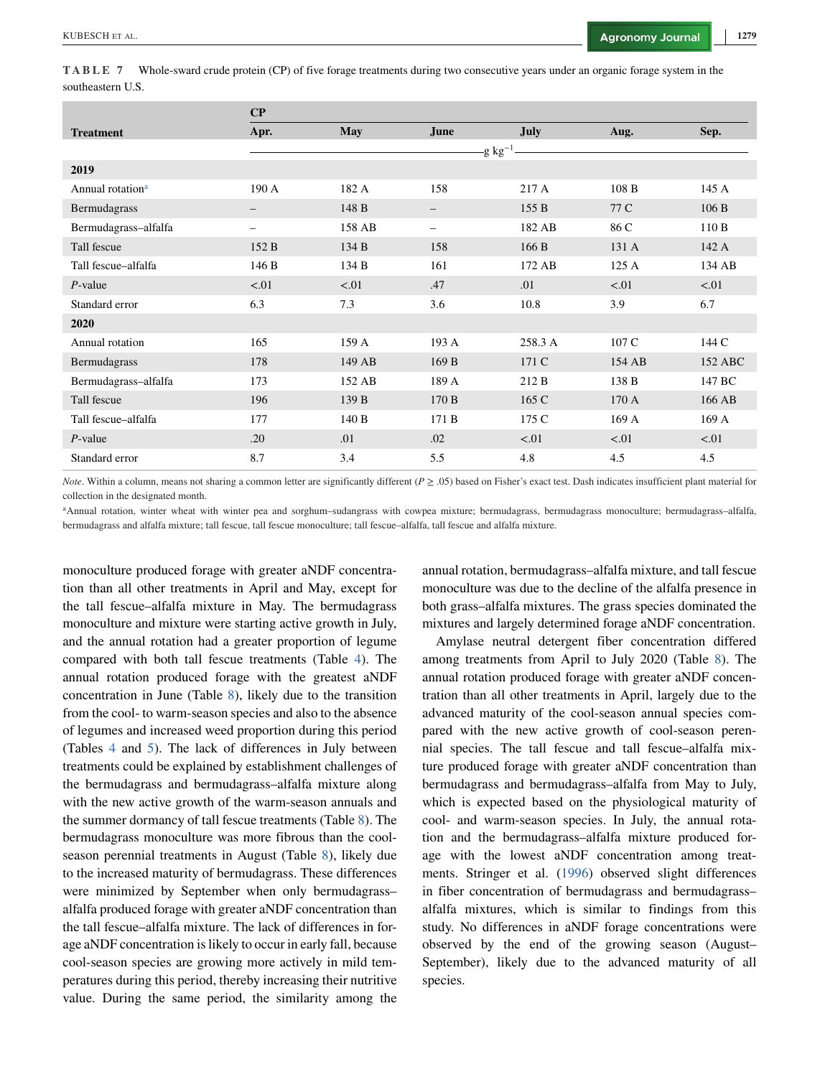<span id="page-10-0"></span>

|                   | TABLE 7 Whole-sward crude protein (CP) of five forage treatments during two consecutive years under an organic forage system in the |  |  |
|-------------------|-------------------------------------------------------------------------------------------------------------------------------------|--|--|
| southeastern U.S. |                                                                                                                                     |  |  |

|                              | $\bf CP$                 |            |                     |             |        |         |
|------------------------------|--------------------------|------------|---------------------|-------------|--------|---------|
| <b>Treatment</b>             | Apr.                     | <b>May</b> | June                | <b>July</b> | Aug.   | Sep.    |
|                              |                          |            | -g $\text{kg}^{-1}$ |             |        |         |
| 2019                         |                          |            |                     |             |        |         |
| Annual rotation <sup>a</sup> | 190 A                    | 182 A      | 158                 | 217 A       | 108B   | 145A    |
| Bermudagrass                 | —                        | 148 B      | -                   | 155B        | 77 C   | 106B    |
| Bermudagrass-alfalfa         | $\overline{\phantom{0}}$ | 158 AB     | -                   | 182 AB      | 86 C   | 110 B   |
| Tall fescue                  | 152 B                    | 134 B      | 158                 | 166 B       | 131 A  | 142 A   |
| Tall fescue-alfalfa          | 146 B                    | 134 B      | 161                 | 172 AB      | 125A   | 134 AB  |
| $P$ -value                   | < .01                    | < 0.01     | .47                 | .01         | < 01   | < 01    |
| Standard error               | 6.3                      | 7.3        | 3.6                 | 10.8        | 3.9    | 6.7     |
| 2020                         |                          |            |                     |             |        |         |
| Annual rotation              | 165                      | 159 A      | 193 A               | 258.3 A     | 107 C  | 144 C   |
| Bermudagrass                 | 178                      | 149 AB     | 169 B               | 171 C       | 154 AB | 152 ABC |
| Bermudagrass-alfalfa         | 173                      | 152 AB     | 189 A               | 212 B       | 138 B  | 147 BC  |
| Tall fescue                  | 196                      | 139 B      | 170 B               | 165 C       | 170A   | 166 AB  |
| Tall fescue-alfalfa          | 177                      | 140 B      | 171 B               | 175 C       | 169 A  | 169 A   |
| $P$ -value                   | .20                      | .01        | .02                 | < 01        | < 01   | < 01    |
| Standard error               | 8.7                      | 3.4        | 5.5                 | 4.8         | 4.5    | 4.5     |

*Note*. Within a column, means not sharing a common letter are significantly different (*P*  $\geq$  .05) based on Fisher's exact test. Dash indicates insufficient plant material for collection in the designated month.

<sup>a</sup>Annual rotation, winter wheat with winter pea and sorghum–sudangrass with cowpea mixture; bermudagrass, bermudagrass monoculture; bermudagrass–alfalfa, bermudagrass and alfalfa mixture; tall fescue, tall fescue monoculture; tall fescue–alfalfa, tall fescue and alfalfa mixture.

monoculture produced forage with greater aNDF concentration than all other treatments in April and May, except for the tall fescue–alfalfa mixture in May. The bermudagrass monoculture and mixture were starting active growth in July, and the annual rotation had a greater proportion of legume compared with both tall fescue treatments (Table [4\)](#page-7-0). The annual rotation produced forage with the greatest aNDF concentration in June (Table [8\)](#page-11-0), likely due to the transition from the cool- to warm-season species and also to the absence of legumes and increased weed proportion during this period (Tables [4](#page-7-0) and [5\)](#page-8-0). The lack of differences in July between treatments could be explained by establishment challenges of the bermudagrass and bermudagrass–alfalfa mixture along with the new active growth of the warm-season annuals and the summer dormancy of tall fescue treatments (Table [8\)](#page-11-0). The bermudagrass monoculture was more fibrous than the coolseason perennial treatments in August (Table [8\)](#page-11-0), likely due to the increased maturity of bermudagrass. These differences were minimized by September when only bermudagrass– alfalfa produced forage with greater aNDF concentration than the tall fescue–alfalfa mixture. The lack of differences in forage aNDF concentration is likely to occur in early fall, because cool-season species are growing more actively in mild temperatures during this period, thereby increasing their nutritive value. During the same period, the similarity among the

annual rotation, bermudagrass–alfalfa mixture, and tall fescue monoculture was due to the decline of the alfalfa presence in both grass–alfalfa mixtures. The grass species dominated the mixtures and largely determined forage aNDF concentration.

Amylase neutral detergent fiber concentration differed among treatments from April to July 2020 (Table [8\)](#page-11-0). The annual rotation produced forage with greater aNDF concentration than all other treatments in April, largely due to the advanced maturity of the cool-season annual species compared with the new active growth of cool-season perennial species. The tall fescue and tall fescue–alfalfa mixture produced forage with greater aNDF concentration than bermudagrass and bermudagrass–alfalfa from May to July, which is expected based on the physiological maturity of cool- and warm-season species. In July, the annual rotation and the bermudagrass–alfalfa mixture produced forage with the lowest aNDF concentration among treatments. Stringer et al. [\(1996\)](#page-14-0) observed slight differences in fiber concentration of bermudagrass and bermudagrass– alfalfa mixtures, which is similar to findings from this study. No differences in aNDF forage concentrations were observed by the end of the growing season (August– September), likely due to the advanced maturity of all species.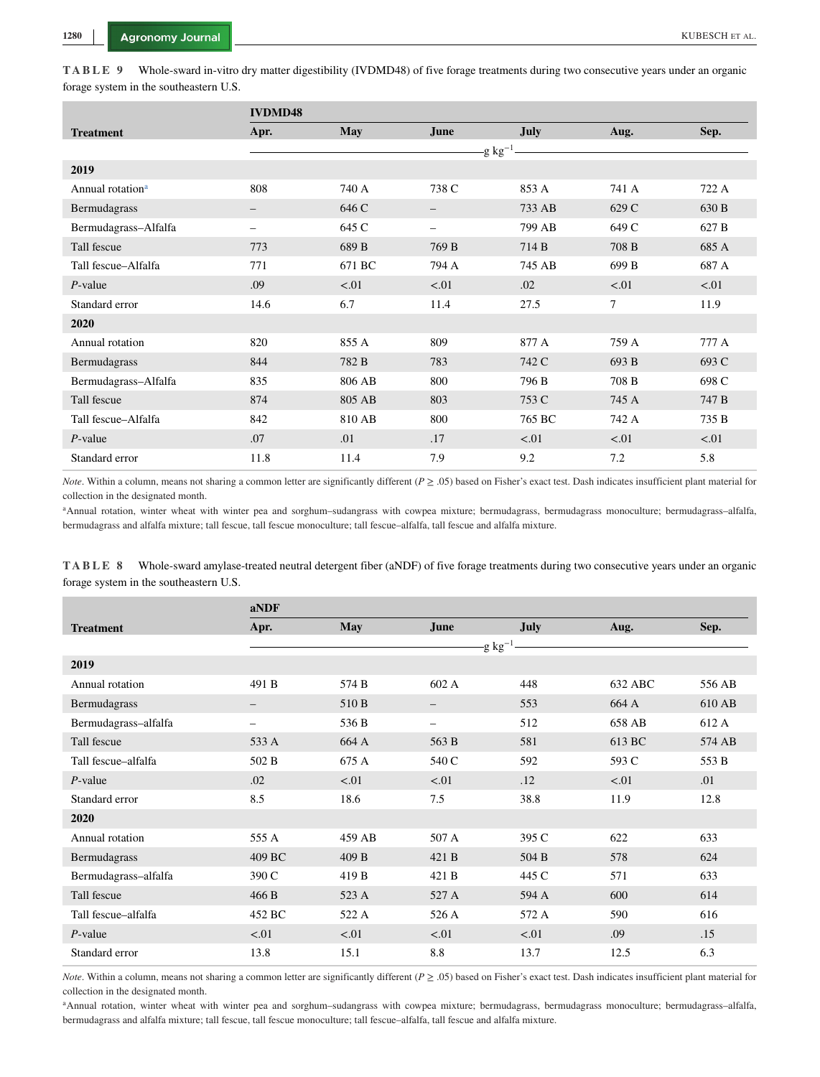<span id="page-11-0"></span>**TABLE 9** Whole-sward in-vitro dry matter digestibility (IVDMD48) of five forage treatments during two consecutive years under an organic forage system in the southeastern U.S.

|                              | <b>IVDMD48</b>    |            |                |        |       |        |
|------------------------------|-------------------|------------|----------------|--------|-------|--------|
| <b>Treatment</b>             | Apr.              | <b>May</b> | June           | July   | Aug.  | Sep.   |
|                              |                   |            | -g $kg^{-1}$ . |        |       |        |
| 2019                         |                   |            |                |        |       |        |
| Annual rotation <sup>a</sup> | 808               | 740 A      | 738 C          | 853 A  | 741 A | 722 A  |
| Bermudagrass                 | $\qquad \qquad -$ | 646 C      |                | 733 AB | 629 C | 630 B  |
| Bermudagrass-Alfalfa         | -                 | 645 C      | -              | 799 AB | 649 C | 627 B  |
| Tall fescue                  | 773               | 689 B      | 769 B          | 714 B  | 708 B | 685 A  |
| Tall fescue-Alfalfa          | 771               | 671 BC     | 794 A          | 745 AB | 699 B | 687 A  |
| $P$ -value                   | .09               | < 01       | < .01          | .02    | < 01  | < 01   |
| Standard error               | 14.6              | 6.7        | 11.4           | 27.5   | 7     | 11.9   |
| 2020                         |                   |            |                |        |       |        |
| Annual rotation              | 820               | 855 A      | 809            | 877 A  | 759 A | 777 A  |
| Bermudagrass                 | 844               | 782 B      | 783            | 742 C  | 693 B | 693 C  |
| Bermudagrass-Alfalfa         | 835               | 806 AB     | 800            | 796 B  | 708 B | 698 C  |
| Tall fescue                  | 874               | 805 AB     | 803            | 753 C  | 745 A | 747 B  |
| Tall fescue-Alfalfa          | 842               | 810 AB     | 800            | 765 BC | 742 A | 735 B  |
| $P$ -value                   | .07               | .01        | .17            | < 01   | < 01  | < 0.01 |
| Standard error               | 11.8              | 11.4       | 7.9            | 9.2    | 7.2   | 5.8    |

*Note*. Within a column, means not sharing a common letter are significantly different (*P*  $\geq$  .05) based on Fisher's exact test. Dash indicates insufficient plant material for collection in the designated month.

<sup>a</sup>Annual rotation, winter wheat with winter pea and sorghum-sudangrass with cowpea mixture; bermudagrass, bermudagrass monoculture; bermudagrass-alfalfa, bermudagrass and alfalfa mixture; tall fescue, tall fescue monoculture; tall fescue–alfalfa, tall fescue and alfalfa mixture.

**TABLE 8** Whole-sward amylase-treated neutral detergent fiber (aNDF) of five forage treatments during two consecutive years under an organic forage system in the southeastern U.S.

|                      | aNDF   |            |                |       |         |        |
|----------------------|--------|------------|----------------|-------|---------|--------|
| <b>Treatment</b>     | Apr.   | <b>May</b> | June           | July  | Aug.    | Sep.   |
|                      |        |            | -g $kg^{-1}$ . |       |         |        |
| 2019                 |        |            |                |       |         |        |
| Annual rotation      | 491 B  | 574 B      | 602 A          | 448   | 632 ABC | 556 AB |
| Bermudagrass         | -      | 510 B      |                | 553   | 664 A   | 610 AB |
| Bermudagrass-alfalfa | -      | 536 B      |                | 512   | 658 AB  | 612 A  |
| Tall fescue          | 533 A  | 664 A      | 563 B          | 581   | 613 BC  | 574 AB |
| Tall fescue-alfalfa  | 502 B  | 675 A      | 540 C          | 592   | 593 C   | 553 B  |
| $P$ -value           | .02    | < 01       | < 01           | .12   | < 01    | .01    |
| Standard error       | 8.5    | 18.6       | 7.5            | 38.8  | 11.9    | 12.8   |
| 2020                 |        |            |                |       |         |        |
| Annual rotation      | 555 A  | 459 AB     | 507 A          | 395 C | 622     | 633    |
| Bermudagrass         | 409 BC | 409 B      | 421 B          | 504 B | 578     | 624    |
| Bermudagrass-alfalfa | 390 C  | 419 B      | 421 B          | 445 C | 571     | 633    |
| Tall fescue          | 466 B  | 523 A      | 527 A          | 594 A | 600     | 614    |
| Tall fescue-alfalfa  | 452 BC | 522 A      | 526 A          | 572 A | 590     | 616    |
| $P$ -value           | < 01   | < 01       | < 01           | < 01  | .09     | .15    |
| Standard error       | 13.8   | 15.1       | 8.8            | 13.7  | 12.5    | 6.3    |

*Note*. Within a column, means not sharing a common letter are significantly different (*P*  $\geq$  .05) based on Fisher's exact test. Dash indicates insufficient plant material for collection in the designated month.

aAnnual rotation, winter wheat with winter pea and sorghum-sudangrass with cowpea mixture; bermudagrass, bermudagrass monoculture; bermudagrass-alfalfa, bermudagrass and alfalfa mixture; tall fescue, tall fescue monoculture; tall fescue–alfalfa, tall fescue and alfalfa mixture.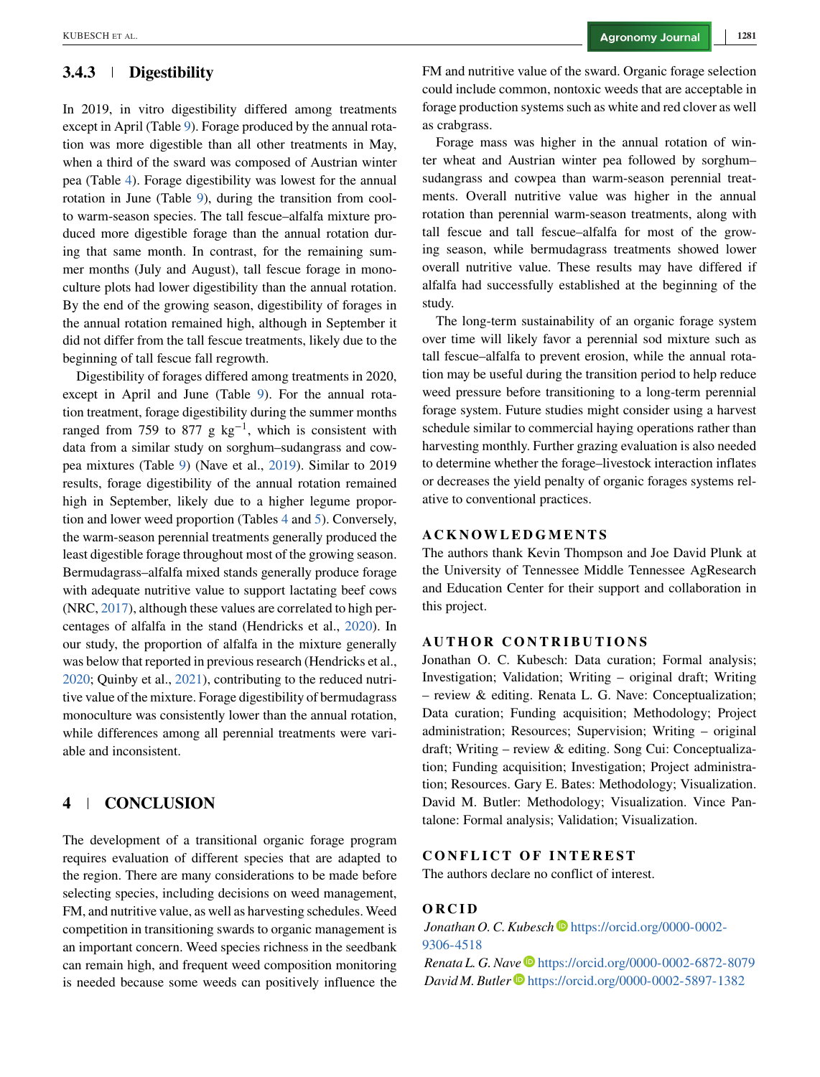## **3.4.3 Digestibility**

In 2019, in vitro digestibility differed among treatments except in April (Table [9\)](#page-11-0). Forage produced by the annual rotation was more digestible than all other treatments in May, when a third of the sward was composed of Austrian winter pea (Table [4\)](#page-7-0). Forage digestibility was lowest for the annual rotation in June (Table [9\)](#page-11-0), during the transition from coolto warm-season species. The tall fescue–alfalfa mixture produced more digestible forage than the annual rotation during that same month. In contrast, for the remaining summer months (July and August), tall fescue forage in monoculture plots had lower digestibility than the annual rotation. By the end of the growing season, digestibility of forages in the annual rotation remained high, although in September it did not differ from the tall fescue treatments, likely due to the beginning of tall fescue fall regrowth.

Digestibility of forages differed among treatments in 2020, except in April and June (Table [9\)](#page-11-0). For the annual rotation treatment, forage digestibility during the summer months ranged from 759 to 877 g  $kg^{-1}$ , which is consistent with data from a similar study on sorghum–sudangrass and cowpea mixtures (Table [9\)](#page-11-0) (Nave et al., [2019\)](#page-14-0). Similar to 2019 results, forage digestibility of the annual rotation remained high in September, likely due to a higher legume proportion and lower weed proportion (Tables [4](#page-7-0) and [5\)](#page-8-0). Conversely, the warm-season perennial treatments generally produced the least digestible forage throughout most of the growing season. Bermudagrass–alfalfa mixed stands generally produce forage with adequate nutritive value to support lactating beef cows (NRC, [2017\)](#page-14-0), although these values are correlated to high percentages of alfalfa in the stand (Hendricks et al., [2020\)](#page-13-0). In our study, the proportion of alfalfa in the mixture generally was below that reported in previous research (Hendricks et al., [2020;](#page-13-0) Quinby et al., [2021\)](#page-14-0), contributing to the reduced nutritive value of the mixture. Forage digestibility of bermudagrass monoculture was consistently lower than the annual rotation, while differences among all perennial treatments were variable and inconsistent.

# **4 CONCLUSION**

The development of a transitional organic forage program requires evaluation of different species that are adapted to the region. There are many considerations to be made before selecting species, including decisions on weed management, FM, and nutritive value, as well as harvesting schedules. Weed competition in transitioning swards to organic management is an important concern. Weed species richness in the seedbank can remain high, and frequent weed composition monitoring is needed because some weeds can positively influence the FM and nutritive value of the sward. Organic forage selection could include common, nontoxic weeds that are acceptable in forage production systems such as white and red clover as well as crabgrass.

Forage mass was higher in the annual rotation of winter wheat and Austrian winter pea followed by sorghum– sudangrass and cowpea than warm-season perennial treatments. Overall nutritive value was higher in the annual rotation than perennial warm-season treatments, along with tall fescue and tall fescue–alfalfa for most of the growing season, while bermudagrass treatments showed lower overall nutritive value. These results may have differed if alfalfa had successfully established at the beginning of the study.

The long-term sustainability of an organic forage system over time will likely favor a perennial sod mixture such as tall fescue–alfalfa to prevent erosion, while the annual rotation may be useful during the transition period to help reduce weed pressure before transitioning to a long-term perennial forage system. Future studies might consider using a harvest schedule similar to commercial haying operations rather than harvesting monthly. Further grazing evaluation is also needed to determine whether the forage–livestock interaction inflates or decreases the yield penalty of organic forages systems relative to conventional practices.

#### **ACKNOWLEDGMENTS**

The authors thank Kevin Thompson and Joe David Plunk at the University of Tennessee Middle Tennessee AgResearch and Education Center for their support and collaboration in this project.

#### **AUTHOR CONTRIBUTIONS**

Jonathan O. C. Kubesch: Data curation; Formal analysis; Investigation; Validation; Writing – original draft; Writing – review & editing. Renata L. G. Nave: Conceptualization; Data curation; Funding acquisition; Methodology; Project administration; Resources; Supervision; Writing – original draft; Writing – review & editing. Song Cui: Conceptualization; Funding acquisition; Investigation; Project administration; Resources. Gary E. Bates: Methodology; Visualization. David M. Butler: Methodology; Visualization. Vince Pantalone: Formal analysis; Validation; Visualization.

## **CONFLICT OF INTEREST**

The authors declare no conflict of interest.

#### **ORCID**

Jonathan O. C. Kubesch<sup>O</sup> [https://orcid.org/0000-0002-](https://orcid.org/0000-0002-9306-4518) [9306-4518](https://orcid.org/0000-0002-9306-4518)

*Renata L. G. Nave* <https://orcid.org/0000-0002-6872-8079> *David M. Butler* **D** <https://orcid.org/0000-0002-5897-1382>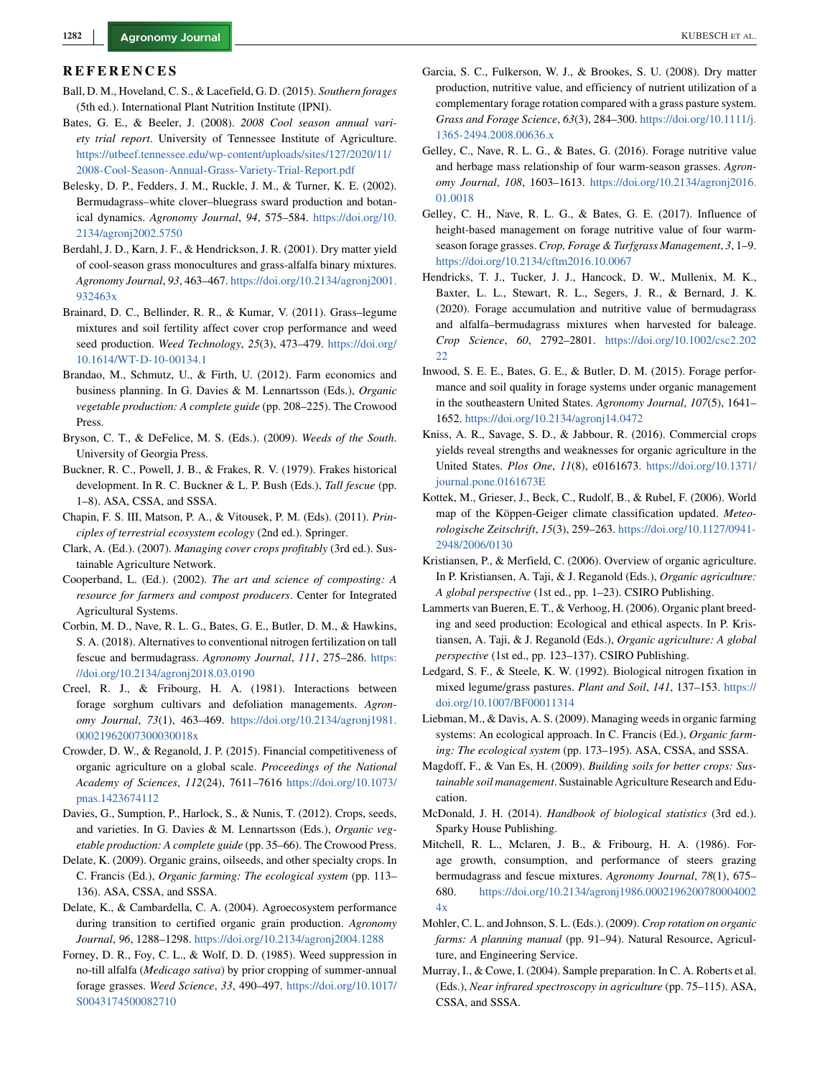#### <span id="page-13-0"></span>**REFERENCES**

- Ball, D. M., Hoveland, C. S., & Lacefield, G. D. (2015). *Southern forages* (5th ed.). International Plant Nutrition Institute (IPNI).
- Bates, G. E., & Beeler, J. (2008). *2008 Cool season annual variety trial report*. University of Tennessee Institute of Agriculture. [https://utbeef.tennessee.edu/wp-content/uploads/sites/127/2020/11/](https://utbeef.tennessee.edu/wp-content/uploads/sites/127/2020/11/2008-Cool-Season-Annual-Grass-Variety-Trial-Report.pdf) [2008-Cool-Season-Annual-Grass-Variety-Trial-Report.pdf](https://utbeef.tennessee.edu/wp-content/uploads/sites/127/2020/11/2008-Cool-Season-Annual-Grass-Variety-Trial-Report.pdf)
- Belesky, D. P., Fedders, J. M., Ruckle, J. M., & Turner, K. E. (2002). Bermudagrass–white clover–bluegrass sward production and botanical dynamics. *Agronomy Journal*, *94*, 575–584. [https://doi.org/10.](https://doi.org/10.2134/agronj2002.5750) [2134/agronj2002.5750](https://doi.org/10.2134/agronj2002.5750)
- Berdahl, J. D., Karn, J. F., & Hendrickson, J. R. (2001). Dry matter yield of cool-season grass monocultures and grass-alfalfa binary mixtures. *Agronomy Journal*, *93*, 463–467. [https://doi.org/10.2134/agronj2001.](https://doi.org/10.2134/agronj2001.932463x) [932463x](https://doi.org/10.2134/agronj2001.932463x)
- Brainard, D. C., Bellinder, R. R., & Kumar, V. (2011). Grass–legume mixtures and soil fertility affect cover crop performance and weed seed production. *Weed Technology*, *25*(3), 473–479. [https://doi.org/](https://doi.org/10.1614/WT-D-10-00134.1) [10.1614/WT-D-10-00134.1](https://doi.org/10.1614/WT-D-10-00134.1)
- Brandao, M., Schmutz, U., & Firth, U. (2012). Farm economics and business planning. In G. Davies & M. Lennartsson (Eds.), *Organic vegetable production: A complete guide* (pp. 208–225). The Crowood Press.
- Bryson, C. T., & DeFelice, M. S. (Eds.). (2009). *Weeds of the South*. University of Georgia Press.
- Buckner, R. C., Powell, J. B., & Frakes, R. V. (1979). Frakes historical development. In R. C. Buckner & L. P. Bush (Eds.), *Tall fescue* (pp. 1–8). ASA, CSSA, and SSSA.
- Chapin, F. S. III, Matson, P. A., & Vitousek, P. M. (Eds). (2011). *Principles of terrestrial ecosystem ecology* (2nd ed.). Springer.
- Clark, A. (Ed.). (2007). *Managing cover crops profitably* (3rd ed.). Sustainable Agriculture Network.
- Cooperband, L. (Ed.). (2002). *The art and science of composting: A resource for farmers and compost producers*. Center for Integrated Agricultural Systems.
- Corbin, M. D., Nave, R. L. G., Bates, G. E., Butler, D. M., & Hawkins, S. A. (2018). Alternatives to conventional nitrogen fertilization on tall fescue and bermudagrass. *Agronomy Journal*, *111*, 275–286. [https:](https://doi.org/10.2134/agronj2018.03.0190) [//doi.org/10.2134/agronj2018.03.0190](https://doi.org/10.2134/agronj2018.03.0190)
- Creel, R. J., & Fribourg, H. A. (1981). Interactions between forage sorghum cultivars and defoliation managements. *Agronomy Journal*, *73*(1), 463–469. [https://doi.org/10.2134/agronj1981.](https://doi.org/10.2134/agronj1981.00021962007300030018x) [00021962007300030018x](https://doi.org/10.2134/agronj1981.00021962007300030018x)
- Crowder, D. W., & Reganold, J. P. (2015). Financial competitiveness of organic agriculture on a global scale. *Proceedings of the National Academy of Sciences*, *112*(24), 7611–7616 [https://doi.org/10.1073/](https://doi.org/10.1073/pnas.1423674112) [pnas.1423674112](https://doi.org/10.1073/pnas.1423674112)
- Davies, G., Sumption, P., Harlock, S., & Nunis, T. (2012). Crops, seeds, and varieties. In G. Davies & M. Lennartsson (Eds.), *Organic vegetable production: A complete guide* (pp. 35–66). The Crowood Press.
- Delate, K. (2009). Organic grains, oilseeds, and other specialty crops. In C. Francis (Ed.), *Organic farming: The ecological system* (pp. 113– 136). ASA, CSSA, and SSSA.
- Delate, K., & Cambardella, C. A. (2004). Agroecosystem performance during transition to certified organic grain production. *Agronomy Journal*, *96*, 1288–1298. <https://doi.org/10.2134/agronj2004.1288>
- Forney, D. R., Foy, C. L., & Wolf, D. D. (1985). Weed suppression in no-till alfalfa (*Medicago sativa*) by prior cropping of summer-annual forage grasses. *Weed Science*, *33*, 490–497. [https://doi.org/10.1017/](https://doi.org/10.1017/S0043174500082710) [S0043174500082710](https://doi.org/10.1017/S0043174500082710)
- Garcia, S. C., Fulkerson, W. J., & Brookes, S. U. (2008). Dry matter production, nutritive value, and efficiency of nutrient utilization of a complementary forage rotation compared with a grass pasture system. *Grass and Forage Science*, *63*(3), 284–300. [https://doi.org/10.1111/j.](https://doi.org/10.1111/j.1365-2494.2008.00636.x) [1365-2494.2008.00636.x](https://doi.org/10.1111/j.1365-2494.2008.00636.x)
- Gelley, C., Nave, R. L. G., & Bates, G. (2016). Forage nutritive value and herbage mass relationship of four warm-season grasses. *Agronomy Journal*, *108*, 1603–1613. [https://doi.org/10.2134/agronj2016.](https://doi.org/10.2134/agronj2016.01.0018) [01.0018](https://doi.org/10.2134/agronj2016.01.0018)
- Gelley, C. H., Nave, R. L. G., & Bates, G. E. (2017). Influence of height-based management on forage nutritive value of four warmseason forage grasses. *Crop, Forage & Turfgrass Management*, *3*, 1–9. <https://doi.org/10.2134/cftm2016.10.0067>
- Hendricks, T. J., Tucker, J. J., Hancock, D. W., Mullenix, M. K., Baxter, L. L., Stewart, R. L., Segers, J. R., & Bernard, J. K. (2020). Forage accumulation and nutritive value of bermudagrass and alfalfa–bermudagrass mixtures when harvested for baleage. *Crop Science*, *60*, 2792–2801. [https://doi.org/10.1002/csc2.202](https://doi.org/10.1002/csc2.20222) [22](https://doi.org/10.1002/csc2.20222)
- Inwood, S. E. E., Bates, G. E., & Butler, D. M. (2015). Forage performance and soil quality in forage systems under organic management in the southeastern United States. *Agronomy Journal*, *107*(5), 1641– 1652. <https://doi.org/10.2134/agronj14.0472>
- Kniss, A. R., Savage, S. D., & Jabbour, R. (2016). Commercial crops yields reveal strengths and weaknesses for organic agriculture in the United States. *Plos One*, *11*(8), e0161673. [https://doi.org/10.1371/](https://doi.org/10.1371/journal.pone.0161673E) [journal.pone.0161673E](https://doi.org/10.1371/journal.pone.0161673E)
- Kottek, M., Grieser, J., Beck, C., Rudolf, B., & Rubel, F. (2006). World map of the Köppen-Geiger climate classification updated. *Meteorologische Zeitschrift*, *15*(3), 259–263. [https://doi.org/10.1127/0941-](https://doi.org/10.1127/0941-2948/2006/0130) [2948/2006/0130](https://doi.org/10.1127/0941-2948/2006/0130)
- Kristiansen, P., & Merfield, C. (2006). Overview of organic agriculture. In P. Kristiansen, A. Taji, & J. Reganold (Eds.), *Organic agriculture: A global perspective* (1st ed., pp. 1–23). CSIRO Publishing.
- Lammerts van Bueren, E. T., & Verhoog, H. (2006). Organic plant breeding and seed production: Ecological and ethical aspects. In P. Kristiansen, A. Taji, & J. Reganold (Eds.), *Organic agriculture: A global perspective* (1st ed., pp. 123–137). CSIRO Publishing.
- Ledgard, S. F., & Steele, K. W. (1992). Biological nitrogen fixation in mixed legume/grass pastures. *Plant and Soil*, *141*, 137–153. [https://](https://doi.org/10.1007/BF00011314) [doi.org/10.1007/BF00011314](https://doi.org/10.1007/BF00011314)
- Liebman, M., & Davis, A. S. (2009). Managing weeds in organic farming systems: An ecological approach. In C. Francis (Ed.), *Organic farming: The ecological system* (pp. 173–195). ASA, CSSA, and SSSA.
- Magdoff, F., & Van Es, H. (2009). *Building soils for better crops: Sustainable soil management*. Sustainable Agriculture Research and Education.
- McDonald, J. H. (2014). *Handbook of biological statistics* (3rd ed.). Sparky House Publishing.
- Mitchell, R. L., Mclaren, J. B., & Fribourg, H. A. (1986). Forage growth, consumption, and performance of steers grazing bermudagrass and fescue mixtures. *Agronomy Journal*, *78*(1), 675– 680. [https://doi.org/10.2134/agronj1986.0002196200780004002](https://doi.org/10.2134/agronj1986.00021962007800040024x) [4x](https://doi.org/10.2134/agronj1986.00021962007800040024x)
- Mohler, C. L. and Johnson, S. L. (Eds.). (2009). *Crop rotation on organic farms: A planning manual* (pp. 91–94). Natural Resource, Agriculture, and Engineering Service.
- Murray, I., & Cowe, I. (2004). Sample preparation. In C. A. Roberts et al. (Eds.), *Near infrared spectroscopy in agriculture* (pp. 75–115). ASA, CSSA, and SSSA.